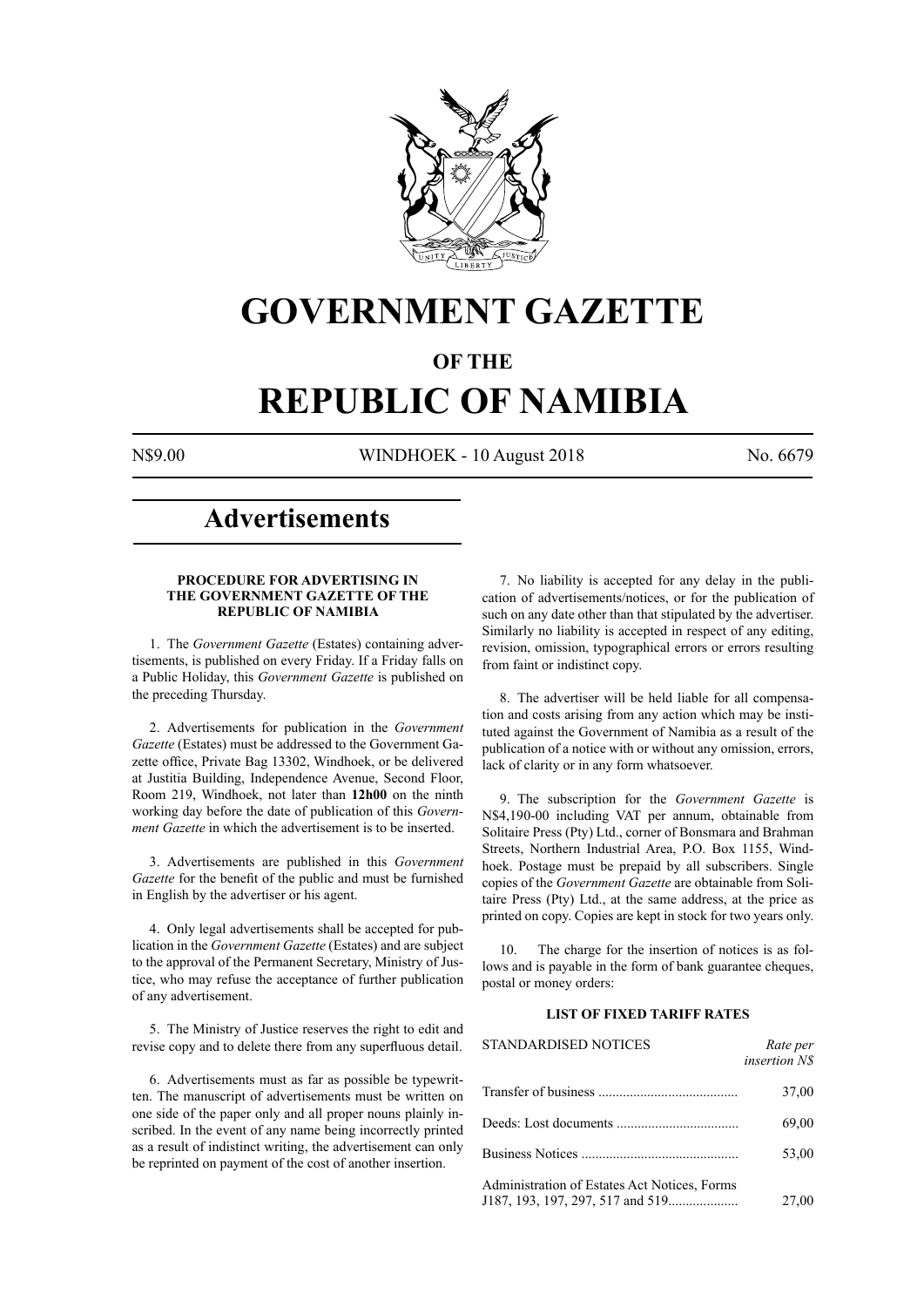

# **GOVERNMENT GAZETTE**

### **OF THE**

# **REPUBLIC OF NAMIBIA**

N\$9.00 WINDHOEK - 10 August 2018 No. 6679

# **Advertisements**

#### **PROCEDURE FOR ADVERTISING IN THE GOVERNMENT GAZETTE OF THE REPUBLIC OF NAMIBIA**

1. The *Government Gazette* (Estates) containing advertisements, is published on every Friday. If a Friday falls on a Public Holiday, this *Government Gazette* is published on the preceding Thursday.

2. Advertisements for publication in the *Government Gazette* (Estates) must be addressed to the Government Gazette office, Private Bag 13302, Windhoek, or be delivered at Justitia Building, Independence Avenue, Second Floor, Room 219, Windhoek, not later than **12h00** on the ninth working day before the date of publication of this *Government Gazette* in which the advertisement is to be inserted.

3. Advertisements are published in this *Government Gazette* for the benefit of the public and must be furnished in English by the advertiser or his agent.

4. Only legal advertisements shall be accepted for publication in the *Government Gazette* (Estates) and are subject to the approval of the Permanent Secretary, Ministry of Justice, who may refuse the acceptance of further publication of any advertisement.

5. The Ministry of Justice reserves the right to edit and revise copy and to delete there from any superfluous detail.

6. Advertisements must as far as possible be typewritten. The manuscript of advertisements must be written on one side of the paper only and all proper nouns plainly inscribed. In the event of any name being incorrectly printed as a result of indistinct writing, the advertisement can only be reprinted on payment of the cost of another insertion.

7. No liability is accepted for any delay in the publication of advertisements/notices, or for the publication of such on any date other than that stipulated by the advertiser. Similarly no liability is accepted in respect of any editing, revision, omission, typographical errors or errors resulting from faint or indistinct copy.

8. The advertiser will be held liable for all compensation and costs arising from any action which may be instituted against the Government of Namibia as a result of the publication of a notice with or without any omission, errors, lack of clarity or in any form whatsoever.

9. The subscription for the *Government Gazette* is N\$4,190-00 including VAT per annum, obtainable from Solitaire Press (Pty) Ltd., corner of Bonsmara and Brahman Streets, Northern Industrial Area, P.O. Box 1155, Windhoek. Postage must be prepaid by all subscribers. Single copies of the *Government Gazette* are obtainable from Solitaire Press (Pty) Ltd., at the same address, at the price as printed on copy. Copies are kept in stock for two years only.

10. The charge for the insertion of notices is as follows and is payable in the form of bank guarantee cheques, postal or money orders:

#### **LIST OF FIXED TARIFF RATES**

| <b>STANDARDISED NOTICES</b>                  | Rate per<br><i>insertion NS</i> |
|----------------------------------------------|---------------------------------|
|                                              | 37,00                           |
|                                              | 69,00                           |
|                                              | 53,00                           |
| Administration of Estates Act Notices, Forms | 27,00                           |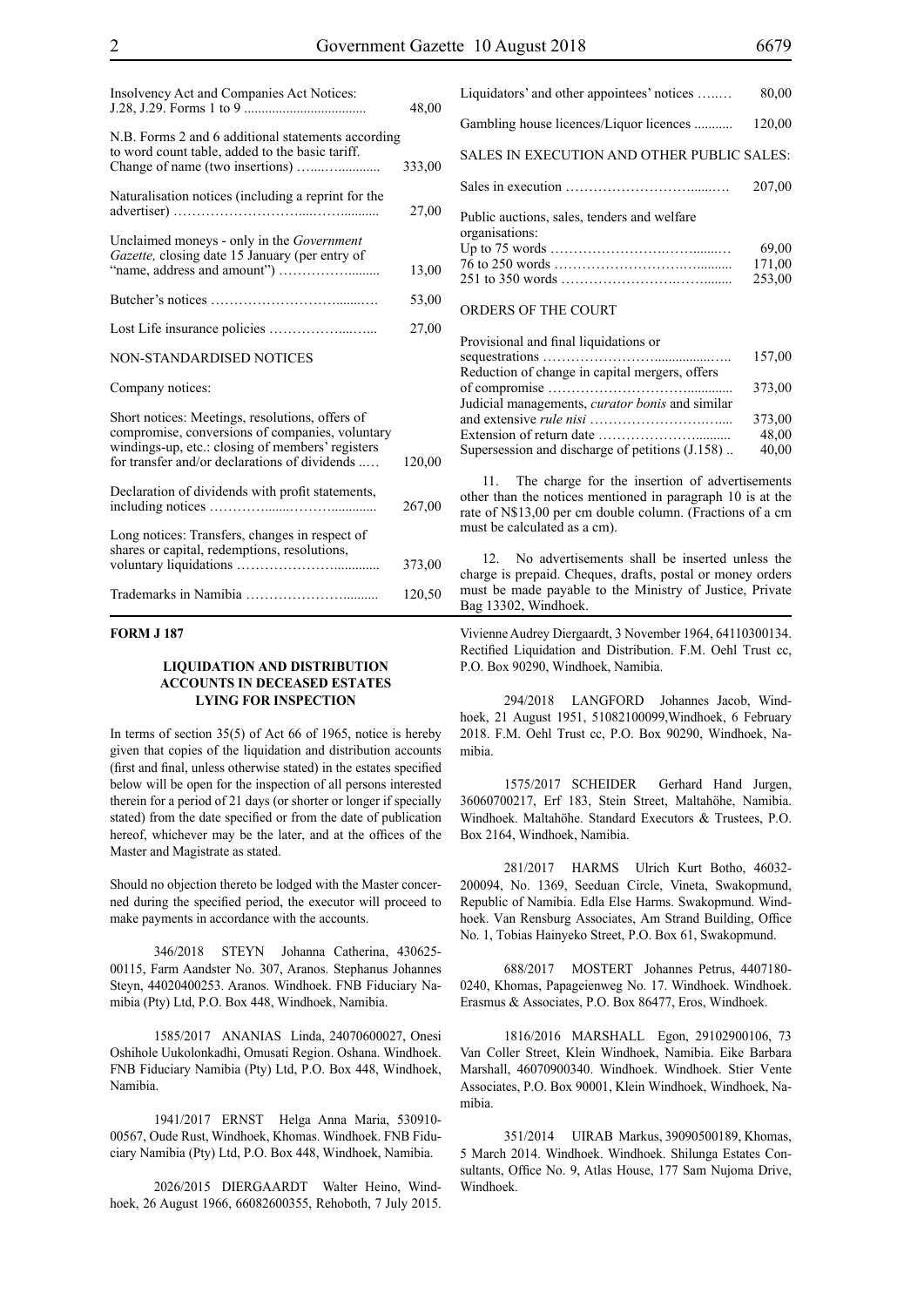| Insolvency Act and Companies Act Notices:                                                                                                                                                               | 48,00  |
|---------------------------------------------------------------------------------------------------------------------------------------------------------------------------------------------------------|--------|
| N.B. Forms 2 and 6 additional statements according<br>to word count table, added to the basic tariff.                                                                                                   | 333,00 |
| Naturalisation notices (including a reprint for the                                                                                                                                                     | 27,00  |
| Unclaimed moneys - only in the Government<br>Gazette, closing date 15 January (per entry of                                                                                                             | 13,00  |
|                                                                                                                                                                                                         | 53,00  |
|                                                                                                                                                                                                         | 27,00  |
| <b>NON-STANDARDISED NOTICES</b>                                                                                                                                                                         |        |
| Company notices:                                                                                                                                                                                        |        |
| Short notices: Meetings, resolutions, offers of<br>compromise, conversions of companies, voluntary<br>windings-up, etc.: closing of members' registers<br>for transfer and/or declarations of dividends | 120,00 |
| Declaration of dividends with profit statements,                                                                                                                                                        | 267,00 |
| Long notices: Transfers, changes in respect of<br>shares or capital, redemptions, resolutions,                                                                                                          | 373,00 |
|                                                                                                                                                                                                         | 120,50 |

#### **FORM J 187**

#### **LIQUIDATION AND DISTRIBUTION ACCOUNTS IN DECEASED ESTATES LYING FOR INSPECTION**

In terms of section 35(5) of Act 66 of 1965, notice is hereby given that copies of the liquidation and distribution accounts (first and final, unless otherwise stated) in the estates specified below will be open for the inspection of all persons interested therein for a period of 21 days (or shorter or longer if specially stated) from the date specified or from the date of publication hereof, whichever may be the later, and at the offices of the Master and Magistrate as stated.

Should no objection thereto be lodged with the Master concerned during the specified period, the executor will proceed to make payments in accordance with the accounts.

346/2018 STEYN Johanna Catherina, 430625- 00115, Farm Aandster No. 307, Aranos. Stephanus Johannes Steyn, 44020400253. Aranos. Windhoek. FNB Fiduciary Namibia (Pty) Ltd, P.O. Box 448, Windhoek, Namibia.

1585/2017 ANANIAS Linda, 24070600027, Onesi Oshihole Uukolonkadhi, Omusati Region. Oshana. Windhoek. FNB Fiduciary Namibia (Pty) Ltd, P.O. Box 448, Windhoek, Namibia.

1941/2017 ERNST Helga Anna Maria, 530910- 00567, Oude Rust, Windhoek, Khomas. Windhoek. FNB Fiduciary Namibia (Pty) Ltd, P.O. Box 448, Windhoek, Namibia.

2026/2015 DIERGAARDT Walter Heino, Windhoek, 26 August 1966, 66082600355, Rehoboth, 7 July 2015. Liquidators' and other appointees' notices …..… 80,00 Gambling house licences/Liquor licences ........... 120,00 SALES IN EXECUTION AND OTHER PUBLIC SALES: Sales in execution ………………………......…. 207,00 Public auctions, sales, tenders and welfare organisations: Up to 75 words …………………….…….......… 69,00 76 to 250 words ……………………….….......... 171,00 251 to 350 words …………………….……........ 253,00 ORDERS OF THE COURT

| Provisional and final liquidations or               |        |
|-----------------------------------------------------|--------|
|                                                     | 157,00 |
| Reduction of change in capital mergers, offers      |        |
|                                                     | 373,00 |
| Judicial managements, curator bonis and similar     |        |
|                                                     | 373,00 |
|                                                     | 48,00  |
| Supersession and discharge of petitions $(1.158)$ . | 40,00  |

11. The charge for the insertion of advertisements other than the notices mentioned in paragraph 10 is at the rate of N\$13,00 per cm double column. (Fractions of a cm must be calculated as a cm).

12. No advertisements shall be inserted unless the charge is prepaid. Cheques, drafts, postal or money orders must be made payable to the Ministry of Justice, Private Bag 13302, Windhoek.

Vivienne Audrey Diergaardt, 3 November 1964, 64110300134. Rectified Liquidation and Distribution. F.M. Oehl Trust cc, P.O. Box 90290, Windhoek, Namibia.

294/2018 LANGFORD Johannes Jacob, Windhoek, 21 August 1951, 51082100099,Windhoek, 6 February 2018. F.M. Oehl Trust cc, P.O. Box 90290, Windhoek, Namibia.

1575/2017 SCHEIDER Gerhard Hand Jurgen, 36060700217, Erf 183, Stein Street, Maltahöhe, Namibia. Windhoek. Maltahöhe. Standard Executors & Trustees, P.O. Box 2164, Windhoek, Namibia.

281/2017 HARMS Ulrich Kurt Botho, 46032- 200094, No. 1369, Seeduan Circle, Vineta, Swakopmund, Republic of Namibia. Edla Else Harms. Swakopmund. Windhoek. Van Rensburg Associates, Am Strand Building, Office No. 1, Tobias Hainyeko Street, P.O. Box 61, Swakopmund.

688/2017 MOSTERT Johannes Petrus, 4407180- 0240, Khomas, Papageienweg No. 17. Windhoek. Windhoek. Erasmus & Associates, P.O. Box 86477, Eros, Windhoek.

1816/2016 MARSHALL Egon, 29102900106, 73 Van Coller Street, Klein Windhoek, Namibia. Eike Barbara Marshall, 46070900340. Windhoek. Windhoek. Stier Vente Associates, P.O. Box 90001, Klein Windhoek, Windhoek, Namibia.

351/2014 UIRAB Markus, 39090500189, Khomas, 5 March 2014. Windhoek. Windhoek. Shilunga Estates Consultants, Office No. 9, Atlas House, 177 Sam Nujoma Drive, Windhoek.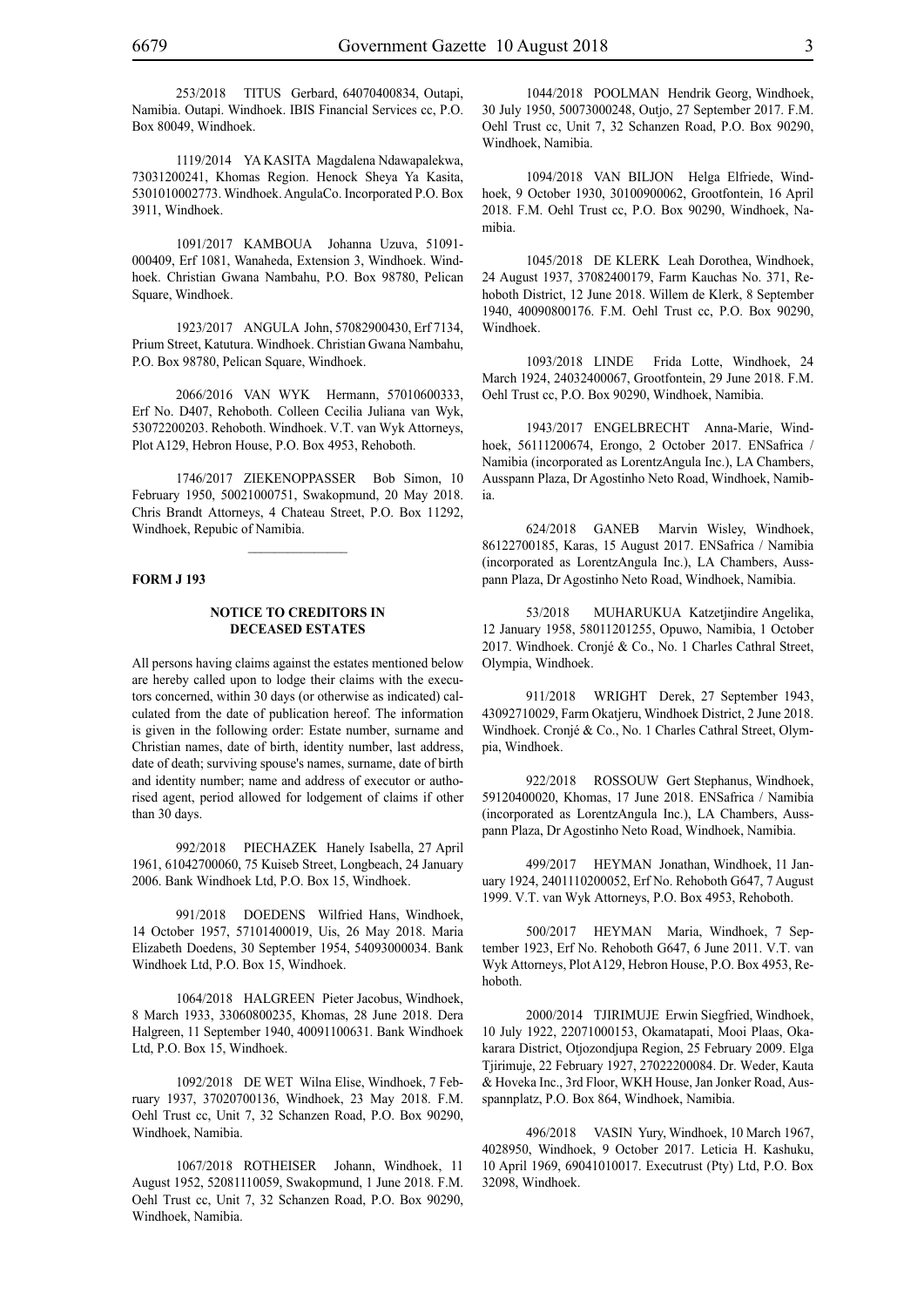253/2018 TITUS Gerbard, 64070400834, Outapi, Namibia. Outapi. Windhoek. IBIS Financial Services cc, P.O. Box 80049, Windhoek.

1119/2014 YA KASITA Magdalena Ndawapalekwa, 73031200241, Khomas Region. Henock Sheya Ya Kasita, 5301010002773. Windhoek. AngulaCo. Incorporated P.O. Box 3911, Windhoek.

1091/2017 KAMBOUA Johanna Uzuva, 51091- 000409, Erf 1081, Wanaheda, Extension 3, Windhoek. Windhoek. Christian Gwana Nambahu, P.O. Box 98780, Pelican Square, Windhoek.

1923/2017 ANGULA John, 57082900430, Erf 7134, Prium Street, Katutura. Windhoek. Christian Gwana Nambahu, P.O. Box 98780, Pelican Square, Windhoek.

2066/2016 VAN WYK Hermann, 57010600333, Erf No. D407, Rehoboth. Colleen Cecilia Juliana van Wyk, 53072200203. Rehoboth. Windhoek. V.T. van Wyk Attorneys, Plot A129, Hebron House, P.O. Box 4953, Rehoboth.

1746/2017 ZIEKENOPPASSER Bob Simon, 10 February 1950, 50021000751, Swakopmund, 20 May 2018. Chris Brandt Attorneys, 4 Chateau Street, P.O. Box 11292, Windhoek, Repubic of Namibia.

 $\frac{1}{2}$ 

#### **FORM J 193**

#### **NOTICE TO CREDITORS IN DECEASED ESTATES**

All persons having claims against the estates mentioned below are hereby called upon to lodge their claims with the executors concerned, within 30 days (or otherwise as indicated) calculated from the date of publication hereof. The information is given in the following order: Estate number, surname and Christian names, date of birth, identity number, last address, date of death; surviving spouse's names, surname, date of birth and identity number; name and address of executor or authorised agent, period allowed for lodgement of claims if other than 30 days.

992/2018 PIECHAZEK Hanely Isabella, 27 April 1961, 61042700060, 75 Kuiseb Street, Longbeach, 24 January 2006. Bank Windhoek Ltd, P.O. Box 15, Windhoek.

991/2018 DOEDENS Wilfried Hans, Windhoek, 14 October 1957, 57101400019, Uis, 26 May 2018. Maria Elizabeth Doedens, 30 September 1954, 54093000034. Bank Windhoek Ltd, P.O. Box 15, Windhoek.

1064/2018 HALGREEN Pieter Jacobus, Windhoek, 8 March 1933, 33060800235, Khomas, 28 June 2018. Dera Halgreen, 11 September 1940, 40091100631. Bank Windhoek Ltd, P.O. Box 15, Windhoek.

1092/2018 DE WET Wilna Elise, Windhoek, 7 February 1937, 37020700136, Windhoek, 23 May 2018. F.M. Oehl Trust cc, Unit 7, 32 Schanzen Road, P.O. Box 90290, Windhoek, Namibia.

1067/2018 ROTHEISER Johann, Windhoek, 11 August 1952, 52081110059, Swakopmund, 1 June 2018. F.M. Oehl Trust cc, Unit 7, 32 Schanzen Road, P.O. Box 90290, Windhoek, Namibia.

1044/2018 POOLMAN Hendrik Georg, Windhoek, 30 July 1950, 50073000248, Outjo, 27 September 2017. F.M. Oehl Trust cc, Unit 7, 32 Schanzen Road, P.O. Box 90290, Windhoek, Namibia.

1094/2018 VAN BILJON Helga Elfriede, Windhoek, 9 October 1930, 30100900062, Grootfontein, 16 April 2018. F.M. Oehl Trust cc, P.O. Box 90290, Windhoek, Namibia.

1045/2018 DE KLERK Leah Dorothea, Windhoek, 24 August 1937, 37082400179, Farm Kauchas No. 371, Rehoboth District, 12 June 2018. Willem de Klerk, 8 September 1940, 40090800176. F.M. Oehl Trust cc, P.O. Box 90290, Windhoek.

1093/2018 LINDE Frida Lotte, Windhoek, 24 March 1924, 24032400067, Grootfontein, 29 June 2018. F.M. Oehl Trust cc, P.O. Box 90290, Windhoek, Namibia.

1943/2017 ENGELBRECHT Anna-Marie, Windhoek, 56111200674, Erongo, 2 October 2017. ENSafrica / Namibia (incorporated as LorentzAngula Inc.), LA Chambers, Ausspann Plaza, Dr Agostinho Neto Road, Windhoek, Namibia.

624/2018 GANEB Marvin Wisley, Windhoek, 86122700185, Karas, 15 August 2017. ENSafrica / Namibia (incorporated as LorentzAngula Inc.), LA Chambers, Ausspann Plaza, Dr Agostinho Neto Road, Windhoek, Namibia.

53/2018 MUHARUKUA Katzetjindire Angelika, 12 January 1958, 58011201255, Opuwo, Namibia, 1 October 2017. Windhoek. Cronjé & Co., No. 1 Charles Cathral Street, Olympia, Windhoek.

911/2018 WRIGHT Derek, 27 September 1943, 43092710029, Farm Okatjeru, Windhoek District, 2 June 2018. Windhoek. Cronjé & Co., No. 1 Charles Cathral Street, Olympia, Windhoek.

922/2018 ROSSOUW Gert Stephanus, Windhoek, 59120400020, Khomas, 17 June 2018. ENSafrica / Namibia (incorporated as LorentzAngula Inc.), LA Chambers, Ausspann Plaza, Dr Agostinho Neto Road, Windhoek, Namibia.

499/2017 HEYMAN Jonathan, Windhoek, 11 January 1924, 2401110200052, Erf No. Rehoboth G647, 7 August 1999. V.T. van Wyk Attorneys, P.O. Box 4953, Rehoboth.

500/2017 HEYMAN Maria, Windhoek, 7 September 1923, Erf No. Rehoboth G647, 6 June 2011. V.T. van Wyk Attorneys, Plot A129, Hebron House, P.O. Box 4953, Rehoboth.

2000/2014 TJIRIMUJE Erwin Siegfried, Windhoek, 10 July 1922, 22071000153, Okamatapati, Mooi Plaas, Okakarara District, Otjozondjupa Region, 25 February 2009. Elga Tjirimuje, 22 February 1927, 27022200084. Dr. Weder, Kauta & Hoveka Inc., 3rd Floor, WKH House, Jan Jonker Road, Ausspannplatz, P.O. Box 864, Windhoek, Namibia.

496/2018 VASIN Yury, Windhoek, 10 March 1967, 4028950, Windhoek, 9 October 2017. Leticia H. Kashuku, 10 April 1969, 69041010017. Executrust (Pty) Ltd, P.O. Box 32098, Windhoek.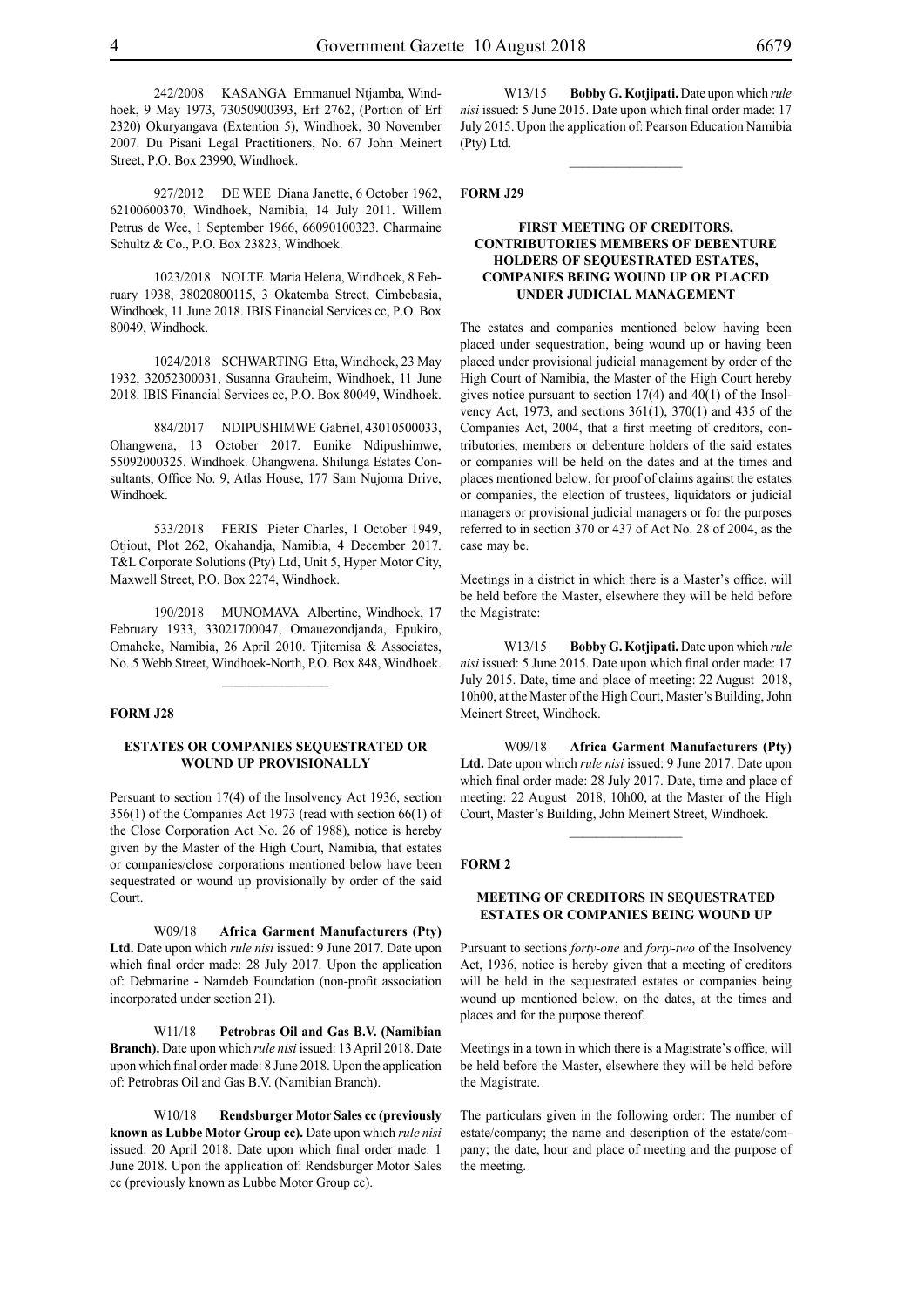242/2008 KASANGA Emmanuel Ntjamba, Windhoek, 9 May 1973, 73050900393, Erf 2762, (Portion of Erf 2320) Okuryangava (Extention 5), Windhoek, 30 November 2007. Du Pisani Legal Practitioners, No. 67 John Meinert Street, P.O. Box 23990, Windhoek.

927/2012 DE WEE Diana Janette, 6 October 1962, 62100600370, Windhoek, Namibia, 14 July 2011. Willem Petrus de Wee, 1 September 1966, 66090100323. Charmaine Schultz & Co., P.O. Box 23823, Windhoek.

1023/2018 NOLTE Maria Helena, Windhoek, 8 February 1938, 38020800115, 3 Okatemba Street, Cimbebasia, Windhoek, 11 June 2018. IBIS Financial Services cc, P.O. Box 80049, Windhoek.

1024/2018 SCHWARTING Etta, Windhoek, 23 May 1932, 32052300031, Susanna Grauheim, Windhoek, 11 June 2018. IBIS Financial Services cc, P.O. Box 80049, Windhoek.

884/2017 NDIPUSHIMWE Gabriel, 43010500033, Ohangwena, 13 October 2017. Eunike Ndipushimwe, 55092000325. Windhoek. Ohangwena. Shilunga Estates Consultants, Office No. 9, Atlas House, 177 Sam Nujoma Drive, Windhoek.

533/2018 FERIS Pieter Charles, 1 October 1949, Otjiout, Plot 262, Okahandja, Namibia, 4 December 2017. T&L Corporate Solutions (Pty) Ltd, Unit 5, Hyper Motor City, Maxwell Street, P.O. Box 2274, Windhoek.

190/2018 MUNOMAVA Albertine, Windhoek, 17 February 1933, 33021700047, Omauezondjanda, Epukiro, Omaheke, Namibia, 26 April 2010. Tjitemisa & Associates, No. 5 Webb Street, Windhoek-North, P.O. Box 848, Windhoek.

 $\frac{1}{2}$ 

#### **FORM J28**

#### **ESTATES OR COMPANIES SEQUESTRATED OR WOUND UP PROVISIONALLY**

Persuant to section 17(4) of the Insolvency Act 1936, section 356(1) of the Companies Act 1973 (read with section 66(1) of the Close Corporation Act No. 26 of 1988), notice is hereby given by the Master of the High Court, Namibia, that estates or companies/close corporations mentioned below have been sequestrated or wound up provisionally by order of the said Court.

W09/18 **Africa Garment Manufacturers (Pty) Ltd.** Date upon which *rule nisi* issued: 9 June 2017. Date upon which final order made: 28 July 2017. Upon the application of: Debmarine - Namdeb Foundation (non-profit association incorporated under section 21).

W11/18 **Petrobras Oil and Gas B.V. (Namibian Branch).** Date upon which *rule nisi* issued: 13 April 2018. Date upon which final order made: 8 June 2018. Upon the application of: Petrobras Oil and Gas B.V. (Namibian Branch).

W10/18 **Rendsburger Motor Sales cc (previously known as Lubbe Motor Group cc).** Date upon which *rule nisi* issued: 20 April 2018. Date upon which final order made: 1 June 2018. Upon the application of: Rendsburger Motor Sales cc (previously known as Lubbe Motor Group cc).

W13/15 **Bobby G. Kotjipati.** Date upon which *rule nisi* issued: 5 June 2015. Date upon which final order made: 17 July 2015. Upon the application of: Pearson Education Namibia (Pty) Ltd.

#### **FORM J29**

#### **FIRST MEETING OF CREDITORS, CONTRIBUTORIES MEMBERS OF DEBENTURE HOLDERS OF SEQUESTRATED ESTATES, COMPANIES BEING WOUND UP OR PLACED UNDER JUDICIAL MANAGEMENT**

The estates and companies mentioned below having been placed under sequestration, being wound up or having been placed under provisional judicial management by order of the High Court of Namibia, the Master of the High Court hereby gives notice pursuant to section 17(4) and 40(1) of the Insolvency Act, 1973, and sections 361(1), 370(1) and 435 of the Companies Act, 2004, that a first meeting of creditors, contributories, members or debenture holders of the said estates or companies will be held on the dates and at the times and places mentioned below, for proof of claims against the estates or companies, the election of trustees, liquidators or judicial managers or provisional judicial managers or for the purposes referred to in section 370 or 437 of Act No. 28 of 2004, as the case may be.

Meetings in a district in which there is a Master's office, will be held before the Master, elsewhere they will be held before the Magistrate:

W13/15 **Bobby G. Kotjipati.** Date upon which *rule nisi* issued: 5 June 2015. Date upon which final order made: 17 July 2015. Date, time and place of meeting: 22 August 2018, 10h00, at the Master of the High Court, Master's Building, John Meinert Street, Windhoek.

W09/18 **Africa Garment Manufacturers (Pty) Ltd.** Date upon which *rule nisi* issued: 9 June 2017. Date upon which final order made: 28 July 2017. Date, time and place of meeting: 22 August 2018, 10h00, at the Master of the High Court, Master's Building, John Meinert Street, Windhoek.

 $\frac{1}{2}$ 

#### **FORM 2**

#### **MEETING OF CREDITORS IN SEQUESTRATED ESTATES OR COMPANIES BEING WOUND UP**

Pursuant to sections *forty-one* and *forty-two* of the Insolvency Act, 1936, notice is hereby given that a meeting of creditors will be held in the sequestrated estates or companies being wound up mentioned below, on the dates, at the times and places and for the purpose thereof.

Meetings in a town in which there is a Magistrate's office, will be held before the Master, elsewhere they will be held before the Magistrate.

The particulars given in the following order: The number of estate/company; the name and description of the estate/company; the date, hour and place of meeting and the purpose of the meeting.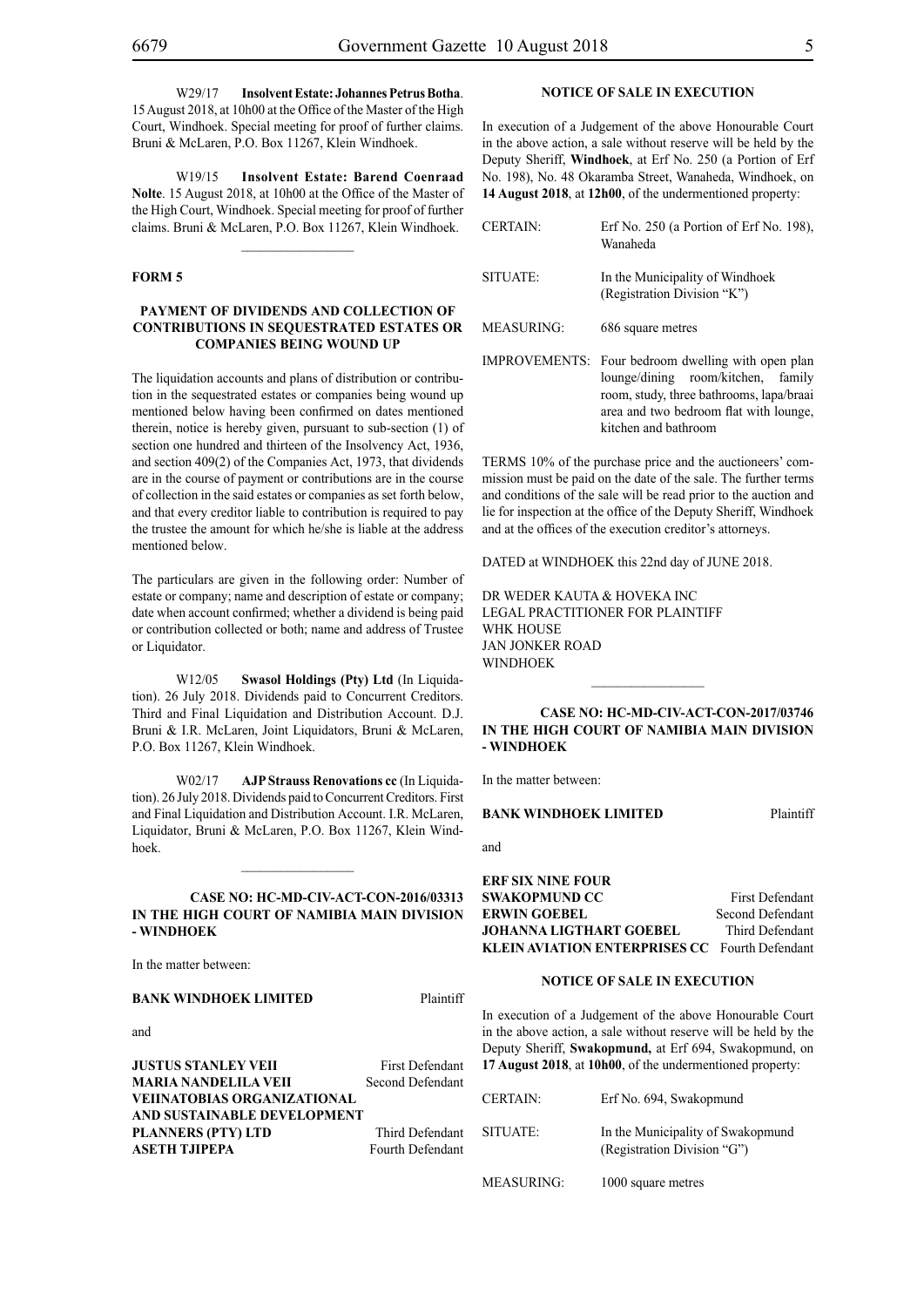W29/17 **Insolvent Estate: Johannes Petrus Botha**. 15 August 2018, at 10h00 at the Office of the Master of the High Court, Windhoek. Special meeting for proof of further claims. Bruni & McLaren, P.O. Box 11267, Klein Windhoek.

W19/15 **Insolvent Estate: Barend Coenraad Nolte**. 15 August 2018, at 10h00 at the Office of the Master of the High Court, Windhoek. Special meeting for proof of further claims. Bruni & McLaren, P.O. Box 11267, Klein Windhoek.

#### **FORM 5**

#### **PAYMENT OF DIVIDENDS AND COLLECTION OF CONTRIBUTIONS IN SEQUESTRATED ESTATES OR COMPANIES BEING WOUND UP**

The liquidation accounts and plans of distribution or contribution in the sequestrated estates or companies being wound up mentioned below having been confirmed on dates mentioned therein, notice is hereby given, pursuant to sub-section (1) of section one hundred and thirteen of the Insolvency Act, 1936, and section 409(2) of the Companies Act, 1973, that dividends are in the course of payment or contributions are in the course of collection in the said estates or companies as set forth below, and that every creditor liable to contribution is required to pay the trustee the amount for which he/she is liable at the address mentioned below.

The particulars are given in the following order: Number of estate or company; name and description of estate or company; date when account confirmed; whether a dividend is being paid or contribution collected or both; name and address of Trustee or Liquidator.

W12/05 **Swasol Holdings (Pty) Ltd** (In Liquidation). 26 July 2018. Dividends paid to Concurrent Creditors. Third and Final Liquidation and Distribution Account. D.J. Bruni & I.R. McLaren, Joint Liquidators, Bruni & McLaren, P.O. Box 11267, Klein Windhoek.

W02/17 **AJP Strauss Renovations cc** (In Liquidation). 26 July 2018. Dividends paid to Concurrent Creditors. First and Final Liquidation and Distribution Account. I.R. McLaren, Liquidator, Bruni & McLaren, P.O. Box 11267, Klein Windhoek.

#### **CASE NO: HC-MD-CIV-ACT-CON-2016/03313 IN THE HIGH COURT OF NAMIBIA MAIN DIVISION - WINDHOEK**

In the matter between:

#### **BANK WINDHOEK LIMITED** Plaintiff

and

**JUSTUS STANLEY VEII** First Defendant<br> **MARIA NANDELILA VEII** Second Defendant **MARIA NANDELILA VEII VEIINATOBIAS ORGANIZATIONAL AND SUSTAINABLE DEVELOPMENT PLANNERS (PTY) LTD** Third Defendant **ASETH TJIPEPA** Fourth Defendant

#### **NOTICE OF SALE IN EXECUTION**

In execution of a Judgement of the above Honourable Court in the above action, a sale without reserve will be held by the Deputy Sheriff, **Windhoek**, at Erf No. 250 (a Portion of Erf No. 198), No. 48 Okaramba Street, Wanaheda, Windhoek, on **14 August 2018**, at **12h00**, of the undermentioned property:

| <b>CERTAIN:</b>   | Erf No. 250 (a Portion of Erf No. 198),<br>Wanaheda                                                                                                                                                       |
|-------------------|-----------------------------------------------------------------------------------------------------------------------------------------------------------------------------------------------------------|
| SITUATE:          | In the Municipality of Windhoek<br>(Registration Division "K")                                                                                                                                            |
| <b>MEASURING:</b> | 686 square metres                                                                                                                                                                                         |
|                   | IMPROVEMENTS: Four bedroom dwelling with open plan<br>lounge/dining room/kitchen,<br>family<br>room, study, three bathrooms, lapa/braai<br>area and two bedroom flat with lounge,<br>kitchen and bathroom |

TERMS 10% of the purchase price and the auctioneers' commission must be paid on the date of the sale. The further terms and conditions of the sale will be read prior to the auction and lie for inspection at the office of the Deputy Sheriff, Windhoek and at the offices of the execution creditor's attorneys.

DATED at WINDHOEK this 22nd day of JUNE 2018.

DR WEDER KAUTA & HOVEKA INC Legal Practitioner for Plaintiff WHK HOUSE Jan Jonker Road WINDHOEK

#### **CASE NO: HC-MD-CIV-ACT-CON-2017/03746 IN THE HIGH COURT OF NAMIBIA MAIN DIVISION - WINDHOEK**

 $\frac{1}{2}$ 

In the matter between:

#### **BANK WINDHOEK LIMITED** Plaintiff

and

**ERF SIX NINE FOUR SWAKOPMUND CC** First Defendant **ERWIN GOEBEL** Second Defendant **JOHANNA LIGTHART GOEBEL** Third Defendant **KLEIN AVIATION ENTERPRISES CC** Fourth Defendant

#### **NOTICE OF SALE IN EXECUTION**

In execution of a Judgement of the above Honourable Court in the above action, a sale without reserve will be held by the Deputy Sheriff, **Swakopmund,** at Erf 694, Swakopmund, on **17 August 2018**, at **10h00**, of the undermentioned property:

| <b>CERTAIN:</b>   | Erf No. 694, Swakopmund                                          |
|-------------------|------------------------------------------------------------------|
| SITUATE:          | In the Municipality of Swakopmund<br>(Registration Division "G") |
| <b>MEASURING:</b> | 1000 square metres                                               |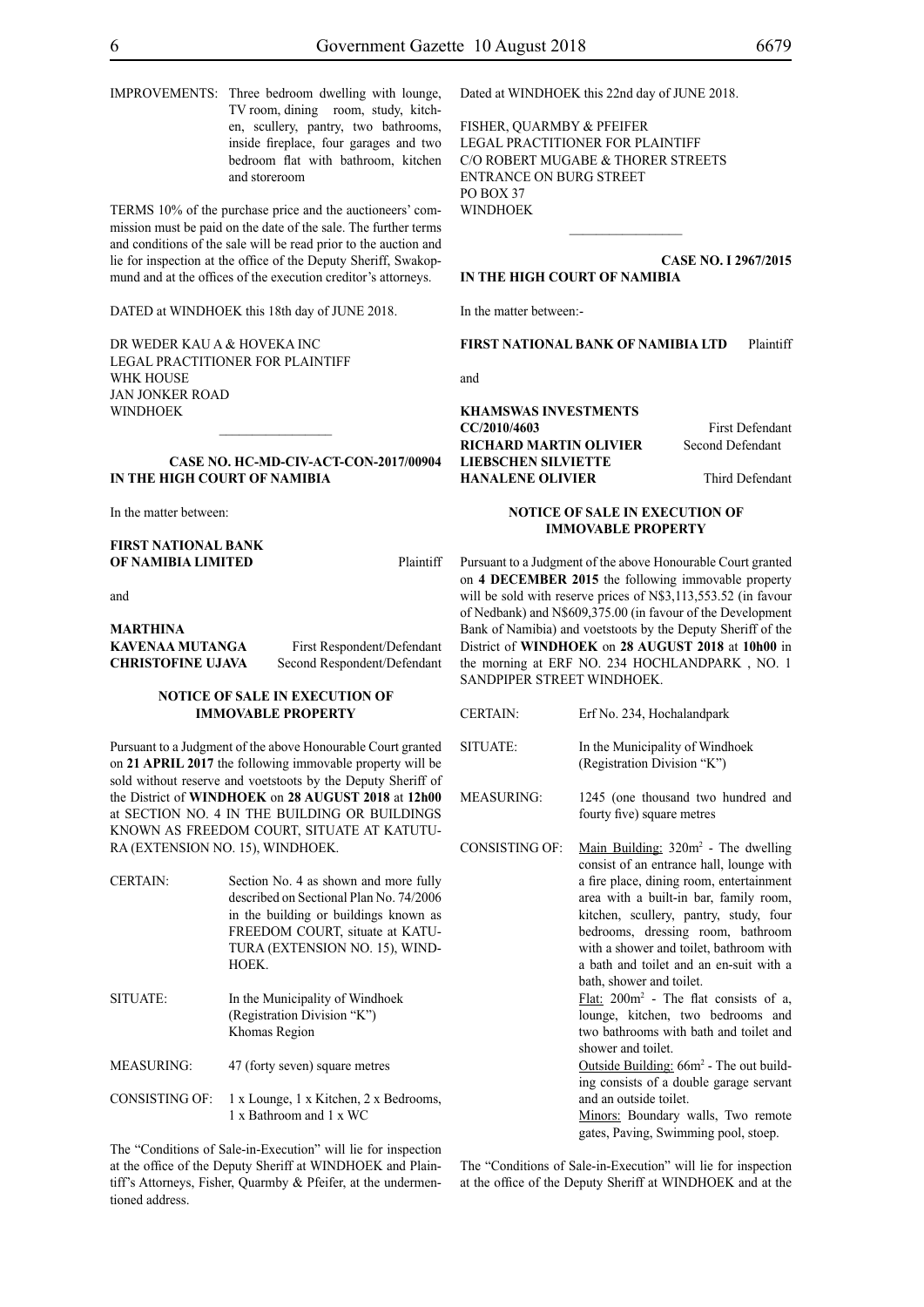IMPROVEMENTS: Three bedroom dwelling with lounge, TV room, dining room, study, kitchen, scullery, pantry, two bathrooms, inside fireplace, four garages and two bedroom flat with bathroom, kitchen and storeroom

TERMS 10% of the purchase price and the auctioneers' commission must be paid on the date of the sale. The further terms and conditions of the sale will be read prior to the auction and lie for inspection at the office of the Deputy Sheriff, Swakopmund and at the offices of the execution creditor's attorneys.

DATED at WINDHOEK this 18th day of JUNE 2018.

DR WEDER KAU A & HOVEKA INC Legal Practitioner for Plaintiff WHK HOUSE Jan Jonker Road WINDHOEK

#### **CASE No. HC-MD-CIV-ACT-CON-2017/00904 IN THE HIGH COURT OF NAMIBIA**

 $\frac{1}{2}$ 

In the matter between:

**FIRST NATIONAL BANK OF NAMIBIA LIMITED** Plaintiff

and

## **MARTHINA KAVENAA MUTANGA** First Respondent/Defendant

**CHRISTOFINE UJAVA** Second Respondent/Defendant

#### **NOTICE OF SALE IN EXECUTION OF IMMOVABLE PROPERTY**

Pursuant to a Judgment of the above Honourable Court granted on **21 APRIL 2017** the following immovable property will be sold without reserve and voetstoots by the Deputy Sheriff of the District of **WINDHOEK** on **28 AUGUST 2018** at **12h00** at SECTION NO. 4 IN THE BUILDING OR BUILDINGS KNOWN AS FREEDOM COURT, SITUATE AT KATUTU-RA (EXTENSION NO. 15), WINDHOEK.

| <b>CERTAIN:</b>       | Section No. 4 as shown and more fully<br>described on Sectional Plan No. 74/2006<br>in the building or buildings known as<br>FREEDOM COURT, situate at KATU-<br>TURA (EXTENSION NO. 15), WIND-<br>HOEK. |
|-----------------------|---------------------------------------------------------------------------------------------------------------------------------------------------------------------------------------------------------|
| SITUATE:              | In the Municipality of Windhoek<br>(Registration Division "K")<br>Khomas Region                                                                                                                         |
| <b>MEASURING:</b>     | 47 (forty seven) square metres                                                                                                                                                                          |
| <b>CONSISTING OF:</b> | 1 x Lounge, 1 x Kitchen, 2 x Bedrooms,                                                                                                                                                                  |

1 x Bathroom and 1 x WC

The "Conditions of Sale-in-Execution" will lie for inspection at the office of the Deputy Sheriff at WINDHOEK and Plaintiff's Attorneys, Fisher, Quarmby & Pfeifer, at the undermentioned address.

Dated at WINDHOEK this 22nd day of JUNE 2018.

FISHER, QUARMBY & PFEIFER LEGAL PRACTITIONER FOR Plaintiff c/o Robert Mugabe & Thorer Streets entrance on Burg Street PO BOX 37 WINDHOEK

**CASE No. I 2967/2015**

#### **IN THE HIGH COURT OF NAMIBIA**

In the matter between:-

**FIRST NATIONAL BANK OF NAMIBIA LTD** Plaintiff

 $\frac{1}{2}$ 

and

#### **KHAMSWAS INVESTMENTS**

**RICHARD MARTIN OLIVIER** Second Defendant **LIEBSCHEN SILVIETTE HANALENE OLIVIER** Third Defendant

#### **NOTICE OF SALE IN EXECUTION OF IMMOVABLE PROPERTY**

Pursuant to a Judgment of the above Honourable Court granted on **4 DECEMBER 2015** the following immovable property will be sold with reserve prices of N\$3,113,553.52 (in favour of Nedbank) and N\$609,375.00 (in favour of the Development Bank of Namibia) and voetstoots by the Deputy Sheriff of the District of **WINDHOEK** on **28 AUGUST 2018** at **10h00** in the morning at ERF NO. 234 HOCHLANDPARK , NO. 1 SANDPIPER STREET WINDHOEK.

| <b>CERTAIN:</b> | Erf No. 234, Hochalandpark |
|-----------------|----------------------------|
|                 |                            |

SITUATE: In the Municipality of Windhoek (Registration Division "K")

MEASURING: 1245 (one thousand two hundred and fourty five) square metres

CONSISTING OF: Main Building:  $320m^2$  - The dwelling consist of an entrance hall, lounge with a fire place, dining room, entertainment area with a built-in bar, family room, kitchen, scullery, pantry, study, four bedrooms, dressing room, bathroom with a shower and toilet, bathroom with a bath and toilet and an en-suit with a bath, shower and toilet. Flat: 200m2 - The flat consists of a, lounge, kitchen, two bedrooms and two bathrooms with bath and toilet and shower and toilet. Outside Building: 66m<sup>2</sup> - The out building consists of a double garage servant and an outside toilet. Minors: Boundary walls, Two remote

gates, Paving, Swimming pool, stoep.

The "Conditions of Sale-in-Execution" will lie for inspection at the office of the Deputy Sheriff at WINDHOEK and at the

**CC/2010/4603** First Defendant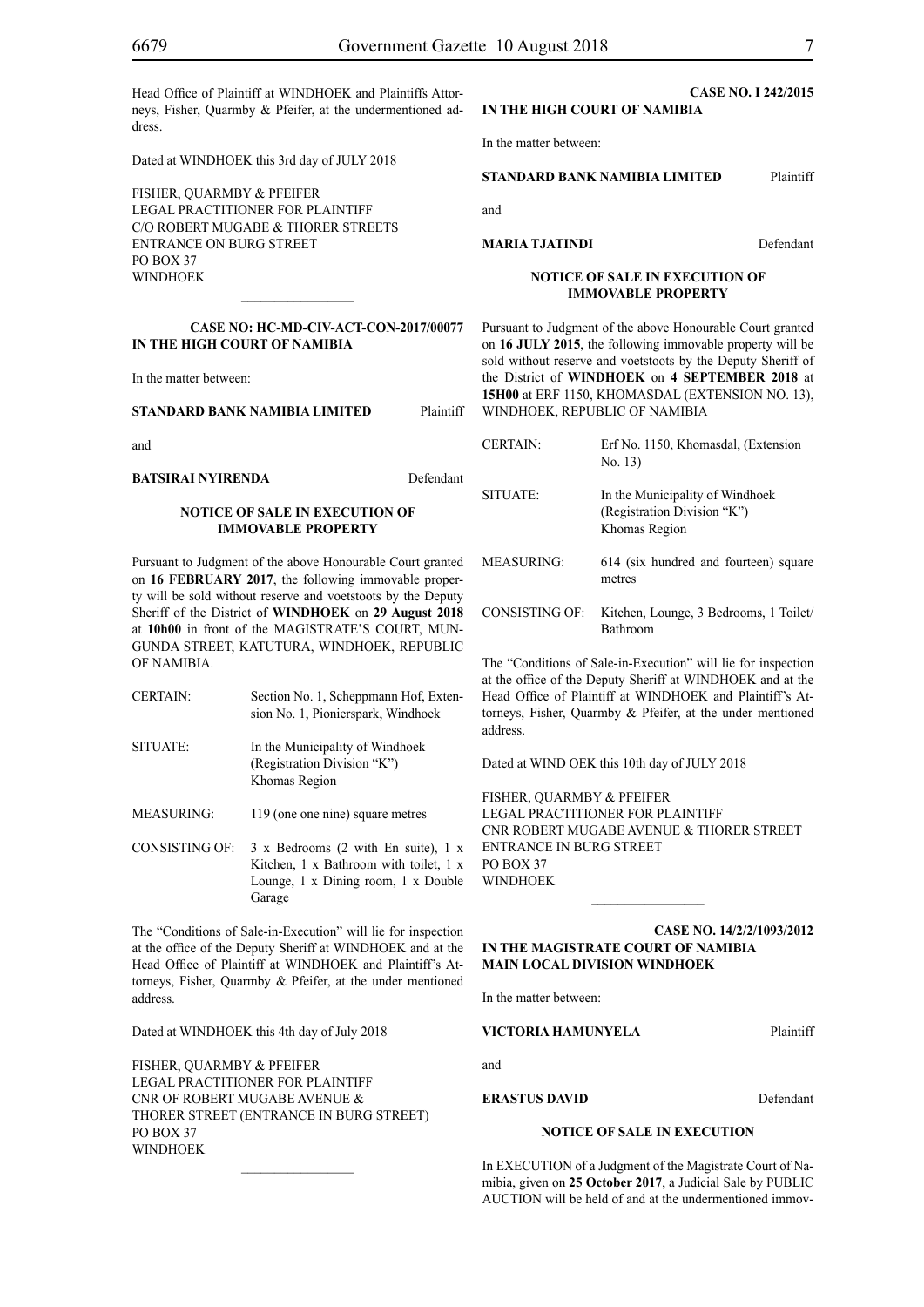Head Office of Plaintiff at WINDHOEK and Plaintiffs Attorneys, Fisher, Quarmby & Pfeifer, at the undermentioned address.

Dated at WINDHOEK this 3rd day of JULY 2018

FISHER, QUARMBY & PFEIFER LEGAL PRACTITIONER FOR Plaintiff c/o Robert Mugabe & Thorer Streets entrance on Burg Street PO BOX 37 **WINDHOFK** 

**CASE NO: HC-MD-CIV-ACT-CON-2017/00077 IN THE HIGH COURT OF NAMIBIA**

 $\frac{1}{2}$ 

In the matter between:

**STANDARD BANK NAMIBIA LIMITED** Plaintiff

and

**BATSIRAI NYIRENDA** Defendant

#### **NOTICE OF SALE IN EXECUTION OF IMMOVABLE PROPERTY**

Pursuant to Judgment of the above Honourable Court granted on **16 FEBRUARY 2017**, the following immovable property will be sold without reserve and voetstoots by the Deputy Sheriff of the District of **WINDHOEK** on **29 August 2018** at **10h00** in front of the MAGISTRATE'S COURT, MUN-GUNDA STREET, KATUTURA, WINDHOEK, REPUBLIC OF NAMIBIA.

- CERTAIN: Section No. 1, Scheppmann Hof, Extension No. 1, Pionierspark, Windhoek SITUATE: In the Municipality of Windhoek (Registration Division "K") Khomas Region
- MEASURING: 119 (one one nine) square metres
- CONSISTING OF: 3 x Bedrooms (2 with En suite), 1 x Kitchen, 1 x Bathroom with toilet, 1 x Lounge, 1 x Dining room, 1 x Double Garage

The "Conditions of Sale-in-Execution" will lie for inspection at the office of the Deputy Sheriff at WINDHOEK and at the Head Office of Plaintiff at WINDHOEK and Plaintiff's Attorneys, Fisher, Quarmby & Pfeifer, at the under mentioned address.

Dated at WINDHOEK this 4th day of July 2018

FISHER, QUARMBY & PFEIFER LEGAL PRACTITIONER FOR Plaintiff Cnr of Robert Mugabe Avenue & Thorer Street (entrance in Burg Street) PO BOX 37 WINDHOEK

 $\frac{1}{2}$ 

**CASE No. I 242/2015 IN THE HIGH COURT OF NAMIBIA**

In the matter between:

#### **STANDARD BANK NAMIBIA LIMITED** Plaintiff

and

#### **MARIA TJATINDI** Defendant

**NOTICE OF SALE IN EXECUTION OF IMMOVABLE PROPERTY**

Pursuant to Judgment of the above Honourable Court granted on **16 JULY 2015**, the following immovable property will be sold without reserve and voetstoots by the Deputy Sheriff of the District of **WINDHOEK** on **4 SEPTEMBER 2018** at **15H00** at ERF 1150, KHOMASDAL (EXTENSION NO. 13), WINDHOEK, REPUBLIC OF NAMIBIA

| <b>CERTAIN:</b> | Erf No. 1150, Khomasdal, (Extension<br>No. 13)                                  |
|-----------------|---------------------------------------------------------------------------------|
| SITUATE:        | In the Municipality of Windhoek<br>(Registration Division "K")<br>Khomas Region |
| MEASURING:      | 614 (six hundred and fourteen) square<br>metres                                 |
| CONSISTING OF:  | Kitchen, Lounge, 3 Bedrooms, 1 Toilet/<br><b>Bathroom</b>                       |

The "Conditions of Sale-in-Execution" will lie for inspection at the office of the Deputy Sheriff at WINDHOEK and at the Head Office of Plaintiff at WINDHOEK and Plaintiff's Attorneys, Fisher, Quarmby & Pfeifer, at the under mentioned address.

Dated at WIND OEK this 10th day of JULY 2018

FISHER, QUARMBY & PFEIFER LEGAL PRACTITIONER FOR Plaintiff Cnr Robert Mugabe Avenue & Thorer Street Entrance in Burg Street PO BOX 37 WINDHOEK

**Case NO. 14/2/2/1093/2012 IN THE MAGISTRATE COURT OF NAMIBIA MAIN LOCAL DIVISION WINDHOEK**

 $\frac{1}{2}$ 

In the matter between:

**VICTORIA HAMUNYELA** Plaintiff

and

**ERASTUS DAVID** Defendant

#### **NOTICE OF SALE IN EXECUTION**

In EXECUTION of a Judgment of the Magistrate Court of Namibia, given on **25 October 2017**, a Judicial Sale by PUBLIC AUCTION will be held of and at the undermentioned immov-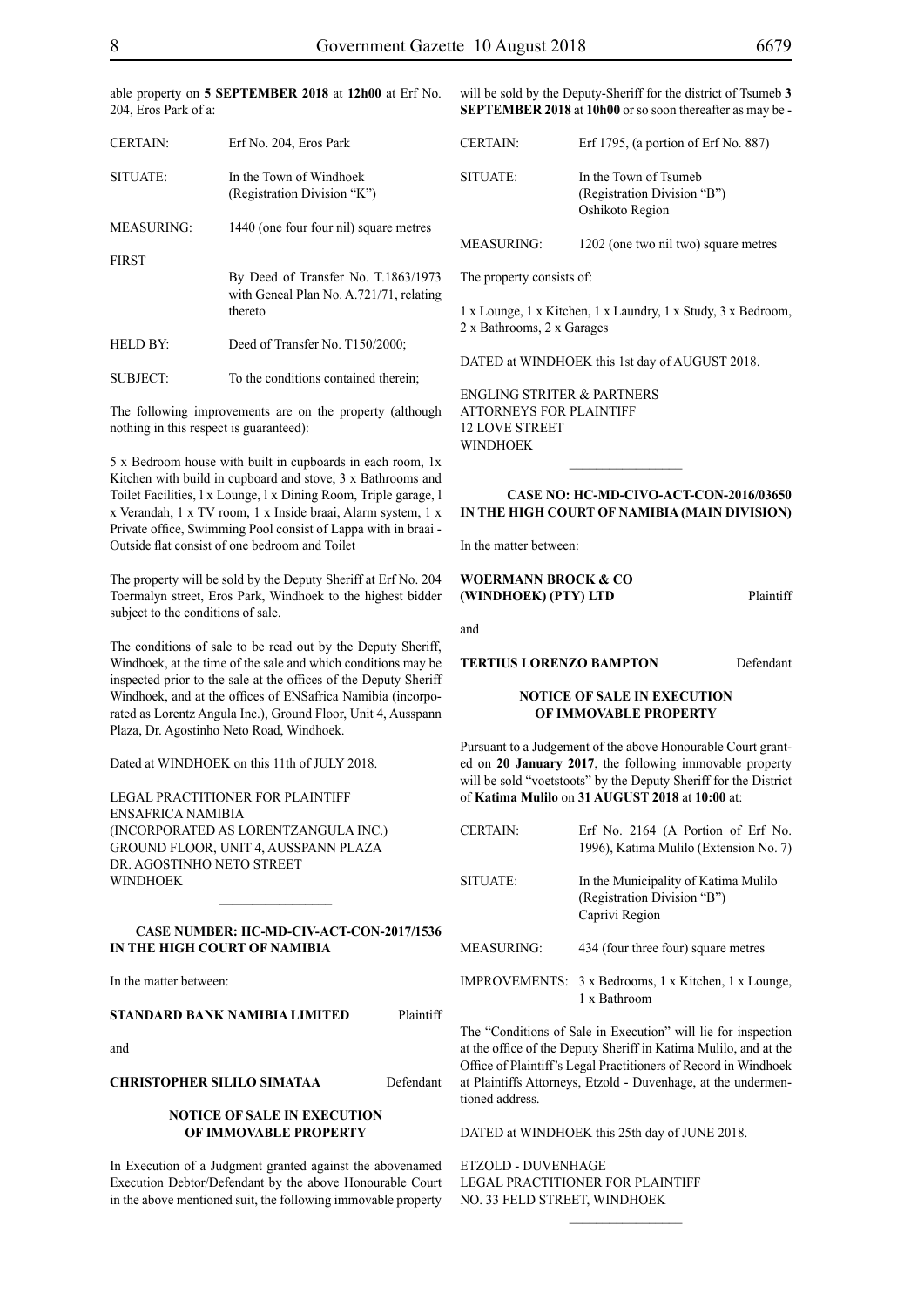able property on **5 SEPTEMBER 2018** at **12h00** at Erf No. 204, Eros Park of a:

| <b>CERTAIN:</b>   | Erf No. 204, Eros Park                                                                    |  |
|-------------------|-------------------------------------------------------------------------------------------|--|
| SITUATE:          | In the Town of Windhoek<br>(Registration Division "K")                                    |  |
| <b>MEASURING:</b> | 1440 (one four four nil) square metres                                                    |  |
| <b>FIRST</b>      |                                                                                           |  |
|                   | By Deed of Transfer No. T.1863/1973<br>with Geneal Plan No. A.721/71, relating<br>thereto |  |
|                   |                                                                                           |  |
| <b>HELD BY:</b>   | Deed of Transfer No. T150/2000;                                                           |  |
| SUBJECT:          | To the conditions contained therein;                                                      |  |

The following improvements are on the property (although nothing in this respect is guaranteed):

5 x Bedroom house with built in cupboards in each room, 1x Kitchen with build in cupboard and stove, 3 x Bathrooms and Toilet Facilities, l x Lounge, l x Dining Room, Triple garage, l x Verandah, 1 x TV room, 1 x Inside braai, Alarm system, 1 x Private office, Swimming Pool consist of Lappa with in braai - Outside flat consist of one bedroom and Toilet

The property will be sold by the Deputy Sheriff at Erf No. 204 Toermalyn street, Eros Park, Windhoek to the highest bidder subject to the conditions of sale.

The conditions of sale to be read out by the Deputy Sheriff, Windhoek, at the time of the sale and which conditions may be inspected prior to the sale at the offices of the Deputy Sheriff Windhoek, and at the offices of ENSafrica Namibia (incorporated as Lorentz Angula Inc.), Ground Floor, Unit 4, Ausspann Plaza, Dr. Agostinho Neto Road, Windhoek.

Dated at WINDHOEK on this 11th of JULY 2018.

Legal Practitioner for Plaintiff ENSafrica Namibia (incorporated as LorentzAngula Inc.) Ground Floor, Unit 4, Ausspann Plaza Dr. Agostinho Neto Street WINDHOEK

#### **CASE NUMBER: HC-MD-CIV-ACT-CON-2017/1536 IN THE HIGH COURT OF NAMIBIA**

 $\frac{1}{2}$ 

In the matter between:

#### **STANDARD BANK NAMIBIA LIMITED** Plaintiff

and

#### **CHRISTOPHER SILILO SIMATAA** Defendant

#### **NOTICE OF SALE IN EXECUTION OF IMMOVABLE PROPERTY**

In Execution of a Judgment granted against the abovenamed Execution Debtor/Defendant by the above Honourable Court in the above mentioned suit, the following immovable property

will be sold by the Deputy-Sheriff for the district of Tsumeb **3 SEPTEMBER 2018** at **10h00** or so soon thereafter as may be -

| <b>CERTAIN:</b>   | Erf 1795, (a portion of Erf No. 887)                                    |
|-------------------|-------------------------------------------------------------------------|
| SITUATE:          | In the Town of Tsumeb<br>(Registration Division "B")<br>Oshikoto Region |
| <b>MEASURING:</b> | 1202 (one two nil two) square metres                                    |

The property consists of:

1 x Lounge, 1 x Kitchen, 1 x Laundry, 1 x Study, 3 x Bedroom, 2 x Bathrooms, 2 x Garages

DATED at WINDHOEK this 1st day of AUGUST 2018.

ENGLING STRITER & PARTNERS Attorneys for Plaintiff 12 Love Street **WINDHOEK** 

#### **Case No: HC-MD-CIVO-ACT-CON-2016/03650 IN THE HIGH COURT OF NAMIBIA (Main Division)**

 $\frac{1}{2}$ 

In the matter between:

#### **WOERMANN BROCK & CO (WINDHOEK) (PTY) LTD** Plaintiff

and

**TERTIUS LORENZO BAMPTON** Defendant

#### **NOTICE OF SALE IN EXECUTION OF IMMOVABLE PROPERTY**

Pursuant to a Judgement of the above Honourable Court granted on **20 January 2017**, the following immovable property will be sold "voetstoots" by the Deputy Sheriff for the District of **Katima Mulilo** on **31 AUGUST 2018** at **10:00** at:

| <b>CERTAIN:</b>   | Erf No. 2164 (A Portion of Erf No.<br>1996), Katima Mulilo (Extension No. 7)          |
|-------------------|---------------------------------------------------------------------------------------|
| SITUATE:          | In the Municipality of Katima Mulilo<br>(Registration Division "B")<br>Caprivi Region |
| <b>MEASURING:</b> | 434 (four three four) square metres                                                   |
|                   | IMPROVEMENTS: 3 x Bedrooms, 1 x Kitchen, 1 x Lounge,<br>1 x Bathroom                  |

The "Conditions of Sale in Execution" will lie for inspection at the office of the Deputy Sheriff in Katima Mulilo, and at the Office of Plaintiff's Legal Practitioners of Record in Windhoek at Plaintiffs Attorneys, Etzold - Duvenhage, at the undermentioned address.

 $\frac{1}{2}$ 

DATED at WINDHOEK this 25th day of JUNE 2018.

ETZOLD - DUVENHAGE LEGAL PRACTITIONER FOR Plaintiff NO. 33 FELD STREET, WINDHOEK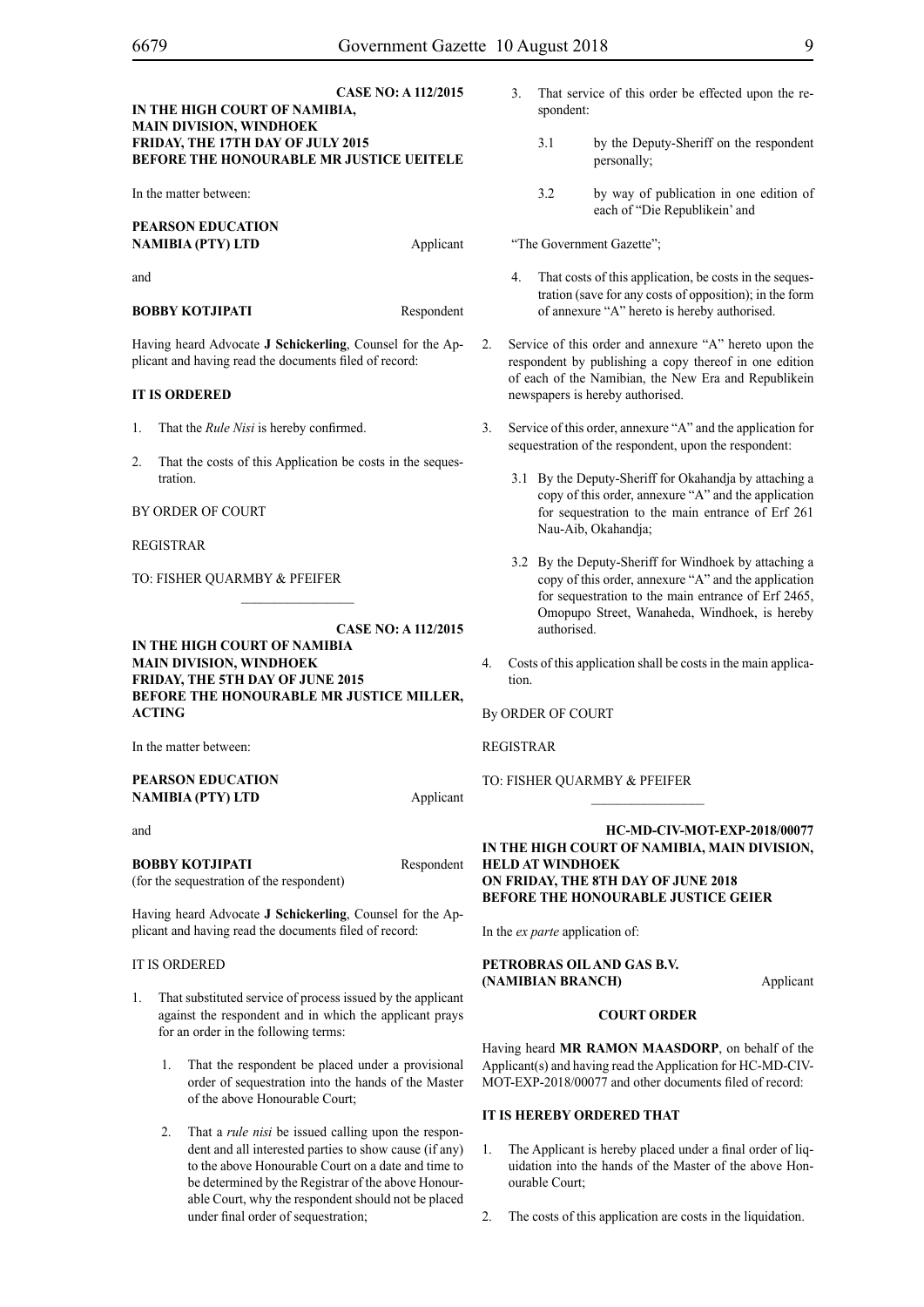#### **CASE NO: A 112/2015 IN THE HIGH COURT OF NAMIBIA, MAIN DIVISION, WINDHOEK FRIDAY, THE 17TH DAY OF JULY 2015 BEFORE THE HONOURABLE MR JUSTICE UEITELE**

In the matter between:

#### **PEARSON EDUCATION NAMIBIA (PTY) LTD** Applicant

and

#### **BOBBY KOTJIPATI** Respondent

Having heard Advocate **J Schickerling**, Counsel for the Applicant and having read the documents filed of record:

#### **IT IS ORDERED**

- 1. That the *Rule Nisi* is hereby confirmed.
- 2. That the costs of this Application be costs in the sequestration.

#### BY ORDER OF COURT

REGISTRAR

TO: FISHER QUARMBY & PFEIFER

### **CASE NO: A 112/2015**

**IN THE HIGH COURT OF NAMIBIA MAIN DIVISION, WINDHOEK FRIDAY, THE 5TH DAY OF JUNE 2015 BEFORE THE HONOURABLE MR JUSTICE MILLER, ACTING** 

 $\frac{1}{2}$ 

In the matter between:

#### **PEARSON EDUCATION NAMIBIA (PTY) LTD** Applicant

and

**BOBBY KOTJIPATI** Respondent (for the sequestration of the respondent)

Having heard Advocate **J Schickerling**, Counsel for the Applicant and having read the documents filed of record:

#### IT IS ORDERED

- 1. That substituted service of process issued by the applicant against the respondent and in which the applicant prays for an order in the following terms:
	- 1. That the respondent be placed under a provisional order of sequestration into the hands of the Master of the above Honourable Court;
	- 2. That a *rule nisi* be issued calling upon the respondent and all interested parties to show cause (if any) to the above Honourable Court on a date and time to be determined by the Registrar of the above Honourable Court, why the respondent should not be placed under final order of sequestration;
- 3. That service of this order be effected upon the respondent:
	- 3.1 by the Deputy-Sheriff on the respondent personally;
	- 3.2 by way of publication in one edition of each of "Die Republikein' and

"The Government Gazette";

- That costs of this application, be costs in the sequestration (save for any costs of opposition); in the form of annexure "A" hereto is hereby authorised.
- 2. Service of this order and annexure "A" hereto upon the respondent by publishing a copy thereof in one edition of each of the Namibian, the New Era and Republikein newspapers is hereby authorised.
- 3. Service of this order, annexure "A" and the application for sequestration of the respondent, upon the respondent:
	- 3.1 By the Deputy-Sheriff for Okahandja by attaching a copy of this order, annexure "A" and the application for sequestration to the main entrance of Erf 261 Nau-Aib, Okahandja;
	- 3.2 By the Deputy-Sheriff for Windhoek by attaching a copy of this order, annexure "A" and the application for sequestration to the main entrance of Erf 2465, Omopupo Street, Wanaheda, Windhoek, is hereby authorised.
- 4. Costs of this application shall be costs in the main application.

By ORDER OF COURT

REGISTRAR

TO: FISHER QUARMBY & PFEIFER

#### **HC-MD-CIV-MOT-EXP-2018/00077 IN THE HIGH COURT OF NAMIBIA, MAIN DIVISION, HELD AT WINDHOEK ON FRIDAY, THE 8th DAY OF JUNE 2018 BEFORE THE HONOURABLE JUSTICE GEIER**

 $\frac{1}{2}$ 

In the *ex parte* application of:

#### **PETROBRAS OIL AND GAS B.V. (NAMIBIAN BRANCH)** Applicant

## **COURT ORDER**

Having heard **MR RAMON MAASDORP**, on behalf of the Applicant(s) and having read the Application for HC-MD-CIV-MOT-EXP-2018/00077 and other documents filed of record:

#### **IT IS HEREBY ORDERED THAT**

- 1. The Applicant is hereby placed under a final order of liquidation into the hands of the Master of the above Honourable Court;
- 2. The costs of this application are costs in the liquidation.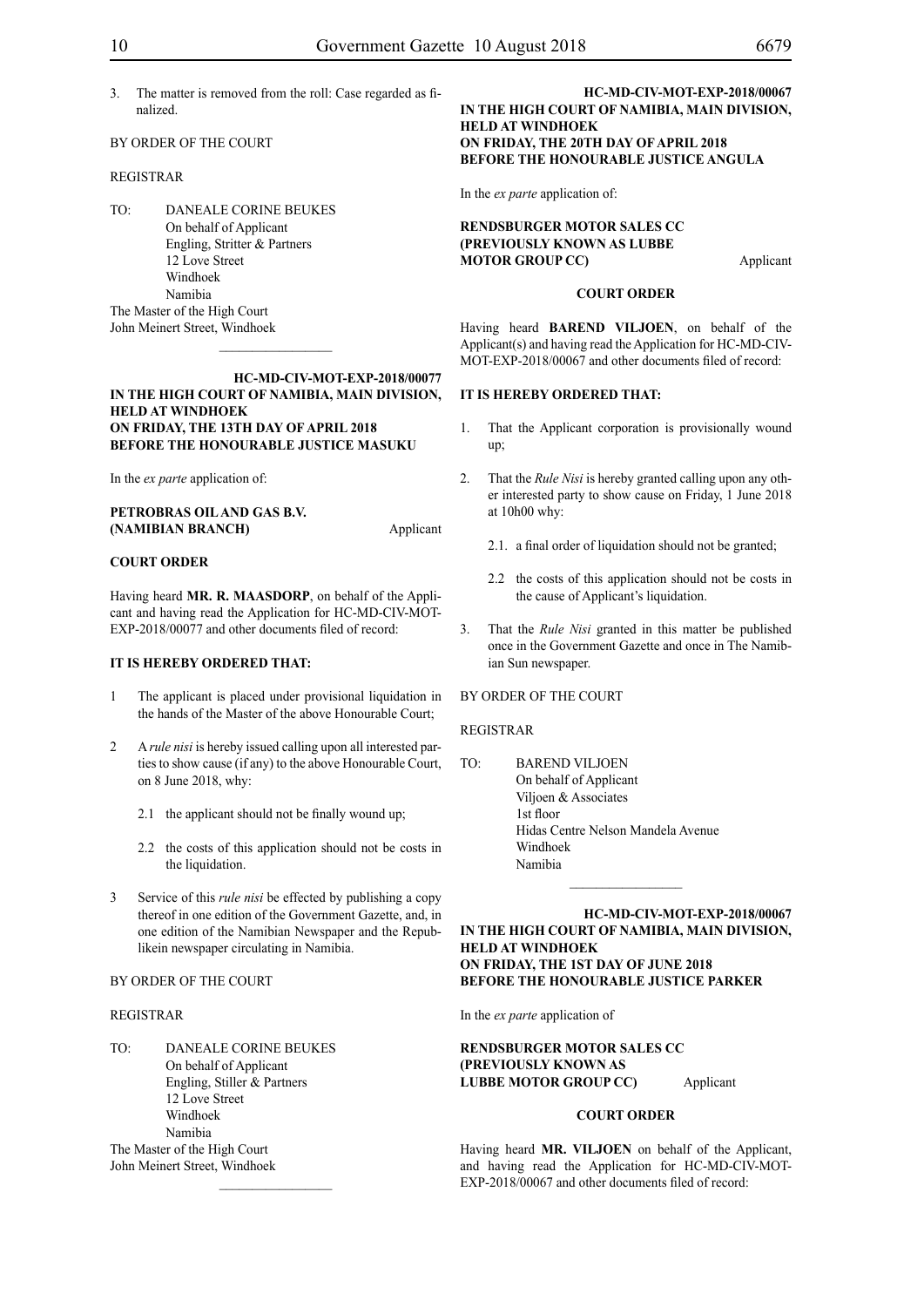3. The matter is removed from the roll: Case regarded as finalized.

#### BY ORDER OF THE COURT

#### REGISTRAR

TO: DANEALE CORINE BEUKES On behalf of Applicant Engling, Stritter & Partners 12 Love Street Windhoek Namibia The Master of the High Court John Meinert Street, Windhoek

#### **HC-MD-CIV-MOT-EXP-2018/00077 IN THE HIGH COURT OF NAMIBIA, MAIN DIVISION, HELD AT WINDHOEK ON FRIDAY, THE 13th DAY OF APRIL 2018 BEFORE THE HONOURABLE JUSTICE MASUKU**

 $\frac{1}{2}$ 

In the *ex parte* application of:

| PETROBRAS OIL AND GAS B.V. |           |
|----------------------------|-----------|
| (NAMIBIAN BRANCH)          | Applicant |

#### **COURT ORDER**

Having heard **MR. R. MAASDORP**, on behalf of the Applicant and having read the Application for HC-MD-CIV-MOT-EXP-2018/00077 and other documents filed of record:

#### **IT IS HEREBY ORDERED THAT:**

- 1 The applicant is placed under provisional liquidation in the hands of the Master of the above Honourable Court;
- 2 A *rule nisi* is hereby issued calling upon all interested parties to show cause (if any) to the above Honourable Court, on 8 June 2018, why:
	- 2.1 the applicant should not be finally wound up;
	- 2.2 the costs of this application should not be costs in the liquidation.
- 3 Service of this *rule nisi* be effected by publishing a copy thereof in one edition of the Government Gazette, and, in one edition of the Namibian Newspaper and the Republikein newspaper circulating in Namibia.

 $\frac{1}{2}$ 

#### BY ORDER OF THE COURT

#### REGISTRAR

TO: DANEALE CORINE BEUKES On behalf of Applicant Engling, Stiller & Partners 12 Love Street Windhoek Namibia The Master of the High Court John Meinert Street, Windhoek

#### **HC-MD-CIV-MOT-EXP-2018/00067 IN THE HIGH COURT OF NAMIBIA, MAIN DIVISION, HELD AT WINDHOEK ON FRIDAY, THE 20th DAY OF APRIL 2018 BEFORE THE HONOURABLE JUSTICE ANGULA**

In the *ex parte* application of:

**RENDSBURGER MOTOR SALES CC (PREVIOUSLY KNOWN AS LUBBE MOTOR GROUP CC)** Applicant

#### **COURT ORDER**

Having heard **BAREND VILJOEN**, on behalf of the Applicant(s) and having read the Application for HC-MD-CIV-MOT-EXP-2018/00067 and other documents filed of record:

#### **IT IS HEREBY ORDERED THAT:**

- 1. That the Applicant corporation is provisionally wound up;
- 2. That the *Rule Nisi* is hereby granted calling upon any other interested party to show cause on Friday, 1 June 2018 at 10h00 why:
	- 2.1. a final order of liquidation should not be granted;
	- 2.2 the costs of this application should not be costs in the cause of Applicant's liquidation.
- 3. That the *Rule Nisi* granted in this matter be published once in the Government Gazette and once in The Namibian Sun newspaper.

#### BY ORDER OF THE COURT

#### REGISTRAR

TO: BAREND VILJOEN On behalf of Applicant Viljoen & Associates 1st floor Hidas Centre Nelson Mandela Avenue Windhoek Namibia

#### **HC-MD-CIV-MOT-EXP-2018/00067 IN THE HIGH COURT OF NAMIBIA, MAIN DIVISION, HELD AT WINDHOEK ON FRIDAY, THE 1st DAY OF JUNE 2018 BEFORE THE HONOURABLE JUSTICE PARKER**

 $\frac{1}{2}$ 

In the *ex parte* application of

#### **RENDSBURGER MOTOR SALES CC (PREVIOUSLY KNOWN AS LUBBE MOTOR GROUP CC)** Applicant

#### **COURT ORDER**

Having heard **MR. VILJOEN** on behalf of the Applicant, and having read the Application for HC-MD-CIV-MOT-EXP-2018/00067 and other documents filed of record: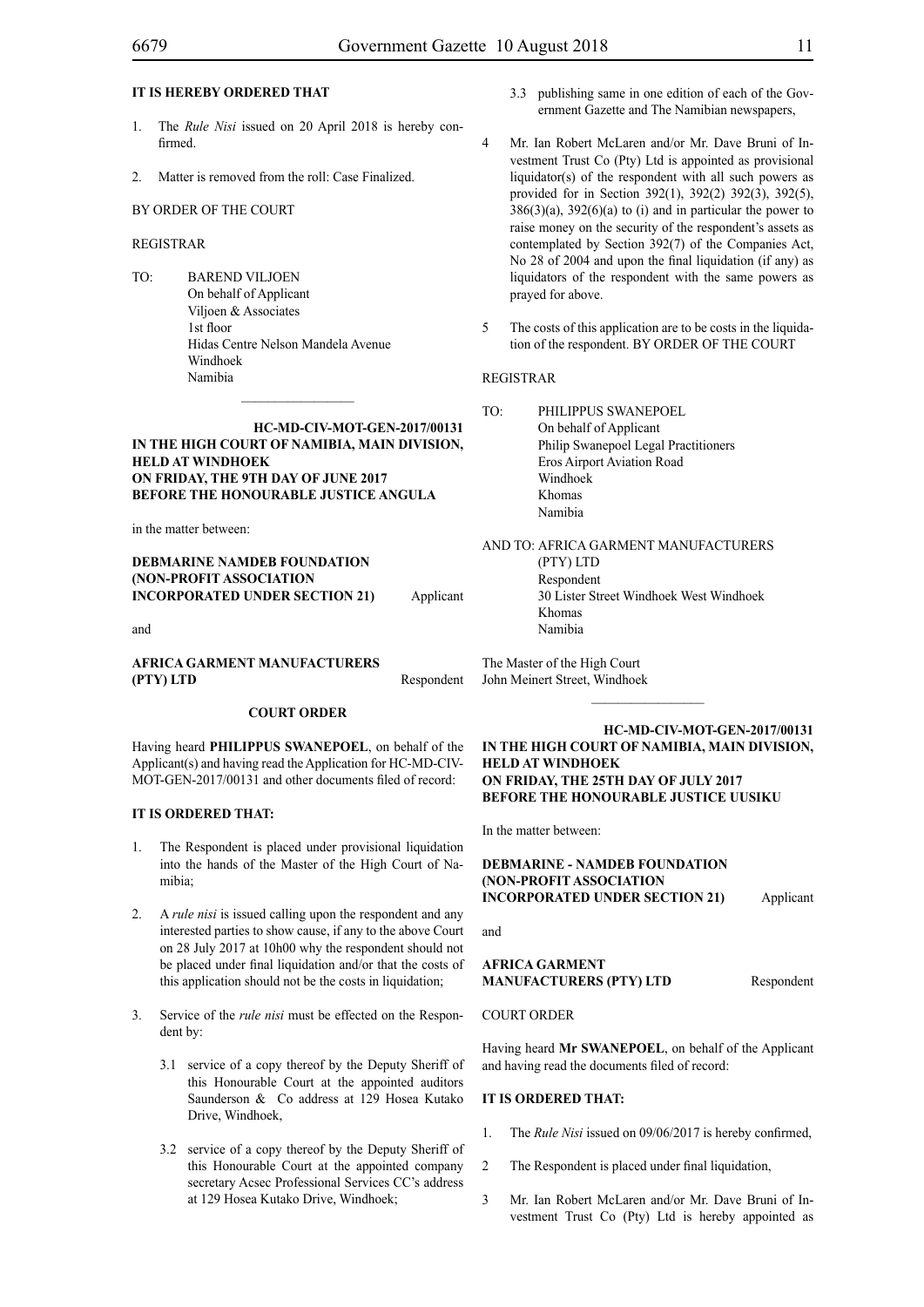#### **IT IS HEREBY ORDERED THAT**

- 1. The *Rule Nisi* issued on 20 April 2018 is hereby confirmed.
- 2. Matter is removed from the roll: Case Finalized.

#### BY ORDER OF THE COURT

#### REGISTRAR

TO: BAREND VILJOEN On behalf of Applicant Viljoen & Associates 1st floor Hidas Centre Nelson Mandela Avenue Windhoek Namibia

#### **HC-MD-CIV-MOT-GEN-2017/00131 IN THE HIGH COURT OF NAMIBIA, MAIN DIVISION, HELD AT WINDHOEK ON FRIDAY, THE 9th DAY OF JUNE 2017 BEFORE THE HONOURABLE JUSTICE ANGULA**

 $\frac{1}{2}$ 

in the matter between:

#### **DEBMARINE NAMDEB FOUNDATION (NON-PROFIT ASSOCIATION INCORPORATED UNDER SECTION 21)** Applicant

and

#### **AFRICA GARMENT MANUFACTURERS (PTY) LTD** Respondent

#### **COURT ORDER**

Having heard **PHILIPPUS SWANEPOEL**, on behalf of the Applicant(s) and having read the Application for HC-MD-CIV-MOT-GEN-2017/00131 and other documents filed of record:

#### **IT IS ORDERED THAT:**

- 1. The Respondent is placed under provisional liquidation into the hands of the Master of the High Court of Namibia;
- 2. A *rule nisi* is issued calling upon the respondent and any interested parties to show cause, if any to the above Court on 28 July 2017 at 10h00 why the respondent should not be placed under final liquidation and/or that the costs of this application should not be the costs in liquidation;
- 3. Service of the *rule nisi* must be effected on the Respondent by:
	- 3.1 service of a copy thereof by the Deputy Sheriff of this Honourable Court at the appointed auditors Saunderson & Co address at 129 Hosea Kutako Drive, Windhoek,
	- 3.2 service of a copy thereof by the Deputy Sheriff of this Honourable Court at the appointed company secretary Acsec Professional Services CC's address at 129 Hosea Kutako Drive, Windhoek;
- 3.3 publishing same in one edition of each of the Government Gazette and The Namibian newspapers,
- 4 Mr. Ian Robert McLaren and/or Mr. Dave Bruni of Investment Trust Co (Pty) Ltd is appointed as provisional liquidator(s) of the respondent with all such powers as provided for in Section 392(1), 392(2) 392(3), 392(5),  $386(3)(a)$ ,  $392(6)(a)$  to (i) and in particular the power to raise money on the security of the respondent's assets as contemplated by Section 392(7) of the Companies Act, No 28 of 2004 and upon the final liquidation (if any) as liquidators of the respondent with the same powers as prayed for above.
- 5 The costs of this application are to be costs in the liquidation of the respondent. BY ORDER OF THE COURT

#### REGISTRAR

TO: PHILIPPUS SWANEPOEL On behalf of Applicant Philip Swanepoel Legal Practitioners Eros Airport Aviation Road Windhoek Khomas Namibia

AND TO: AFRICA GARMENT MANUFACTURERS (PTY) LTD Respondent 30 Lister Street Windhoek West Windhoek Khomas Namibia

The Master of the High Court John Meinert Street, Windhoek

#### **HC-MD-CIV-MOT-GEN-2017/00131 IN THE HIGH COURT OF NAMIBIA, MAIN DIVISION, HELD AT WINDHOEK ON FRIDAY, THE 25th DAY OF JULY 2017 BEFORE THE HONOURABLE JUSTICE UUSIKU**

In the matter between:

**DEBMARINE - NAMDEB FOUNDATION (NON-PROFIT ASSOCIATION INCORPORATED UNDER SECTION 21)** Applicant

and

**AFRICA GARMENT MANUFACTURERS (PTY) LTD** Respondent

#### COURT ORDER

Having heard **Mr SWANEPOEL**, on behalf of the Applicant and having read the documents filed of record:

#### **IT IS ORDERED THAT:**

- 1. The *Rule Nisi* issued on 09/06/2017 is hereby confirmed,
- 2 The Respondent is placed under final liquidation,
- 3 Mr. Ian Robert McLaren and/or Mr. Dave Bruni of Investment Trust Co (Pty) Ltd is hereby appointed as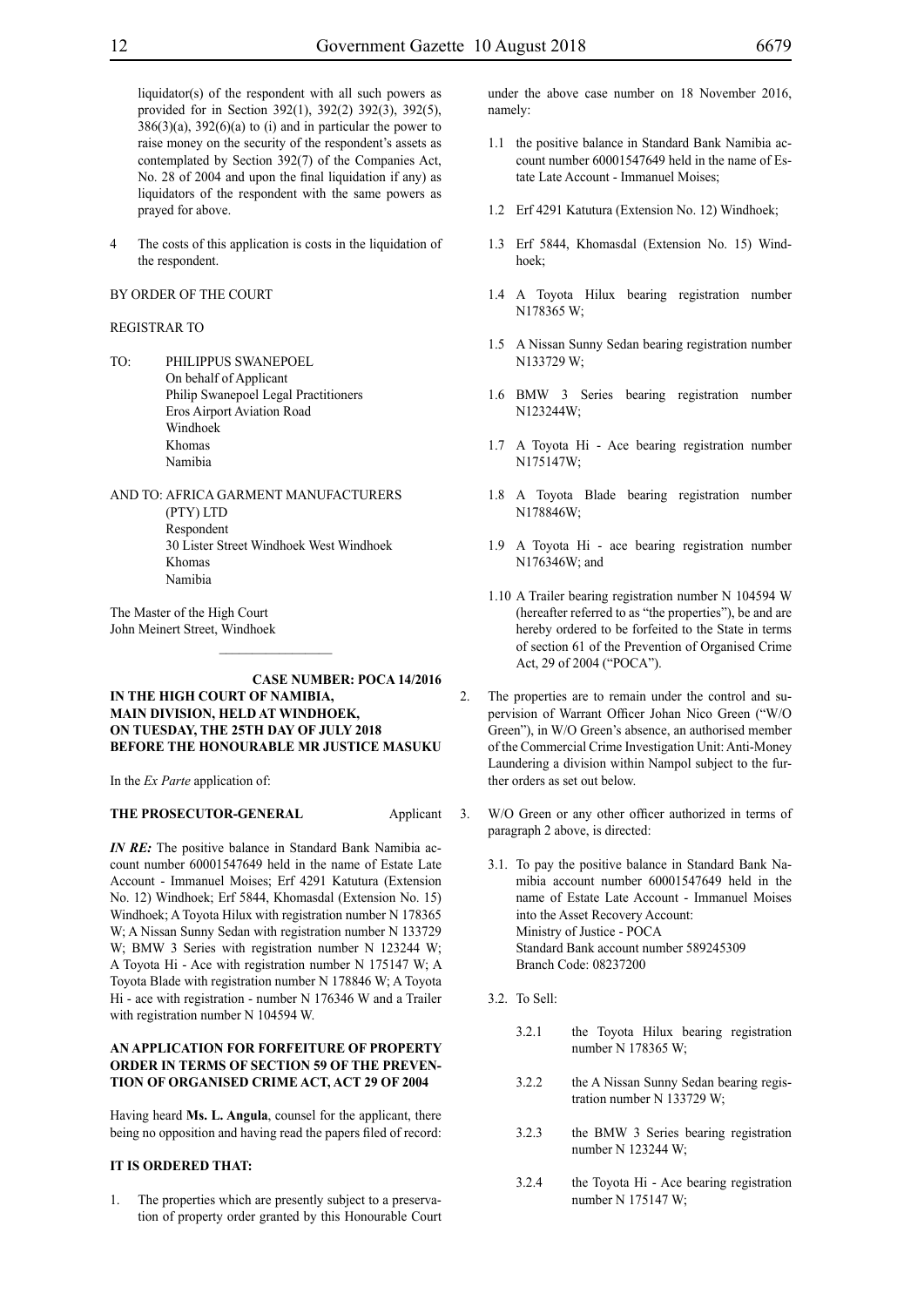liquidator(s) of the respondent with all such powers as provided for in Section 392(1), 392(2) 392(3), 392(5),  $386(3)(a)$ ,  $392(6)(a)$  to (i) and in particular the power to raise money on the security of the respondent's assets as contemplated by Section 392(7) of the Companies Act, No. 28 of 2004 and upon the final liquidation if any) as liquidators of the respondent with the same powers as prayed for above.

4 The costs of this application is costs in the liquidation of the respondent.

#### BY ORDER OF THE COURT

#### REGISTRAR TO

- TO: PHILIPPUS SWANEPOEL On behalf of Applicant Philip Swanepoel Legal Practitioners Eros Airport Aviation Road Windhoek Khomas Namibia
- AND TO: AFRICA GARMENT MANUFACTURERS (PTY) LTD Respondent 30 Lister Street Windhoek West Windhoek Khomas Namibia

The Master of the High Court John Meinert Street, Windhoek

#### **CASE NUMBER: Poca 14/2016 IN THE HIGH COURT OF NAMIBIA, MAIN DIVISION, HELD AT WINDHOEK, ON TUESDAY, THE 25th day of JULY 2018 BEFORE THE HONOURABLE MR JUSTICE MASUKU**

 $\frac{1}{2}$ 

In the *Ex Parte* application of:

#### **THE PROSECUTOR-GENERAL** Applicant

*IN RE*: The positive balance in Standard Bank Namibia account number 60001547649 held in the name of Estate Late Account - Immanuel Moises; Erf 4291 Katutura (Extension No. 12) Windhoek; Erf 5844, Khomasdal (Extension No. 15) Windhoek; A Toyota Hilux with registration number N 178365 W; A Nissan Sunny Sedan with registration number N 133729 W; BMW 3 Series with registration number N 123244 W; A Toyota Hi - Ace with registration number N 175147 W; A Toyota Blade with registration number N 178846 W; A Toyota Hi - ace with registration - number N 176346 W and a Trailer with registration number N 104594 W.

#### **AN APPLICATION FOR FORFEITURE OF PROPERTY ORDER IN TERMS OF SECTION 59 OF THE PREVEN-TION OF ORGANISED CRIME ACT, ACT 29 OF 2004**

Having heard **Ms. L. Angula**, counsel for the applicant, there being no opposition and having read the papers filed of record:

#### **IT IS ORDERED THAT:**

1. The properties which are presently subject to a preservation of property order granted by this Honourable Court under the above case number on 18 November 2016, namely:

- 1.1 the positive balance in Standard Bank Namibia account number 60001547649 held in the name of Estate Late Account - Immanuel Moises;
- 1.2 Erf 4291 Katutura (Extension No. 12) Windhoek;
- 1.3 Erf 5844, Khomasdal (Extension No. 15) Windhoek;
- 1.4 A Toyota Hilux bearing registration number N178365 W;
- 1.5 A Nissan Sunny Sedan bearing registration number N133729 W;
- 1.6 BMW 3 Series bearing registration number N123244W;
- 1.7 A Toyota Hi Ace bearing registration number N175147W;
- 1.8 A Toyota Blade bearing registration number N178846W;
- 1.9 A Toyota Hi ace bearing registration number N176346W; and
- 1.10 A Trailer bearing registration number N 104594 W (hereafter referred to as "the properties"), be and are hereby ordered to be forfeited to the State in terms of section 61 of the Prevention of Organised Crime Act, 29 of 2004 ("POCA").
- 2. The properties are to remain under the control and supervision of Warrant Officer Johan Nico Green ("W/O Green"), in W/O Green's absence, an authorised member of the Commercial Crime Investigation Unit: Anti-Money Laundering a division within Nampol subject to the further orders as set out below.
- 3. W/O Green or any other officer authorized in terms of paragraph 2 above, is directed:
	- 3.1. To pay the positive balance in Standard Bank Namibia account number 60001547649 held in the name of Estate Late Account - Immanuel Moises into the Asset Recovery Account: Ministry of Justice - POCA Standard Bank account number 589245309 Branch Code: 08237200
	- 3.2. To Sell:
		- 3.2.1 the Toyota Hilux bearing registration number N 178365 W;
		- 3.2.2 the A Nissan Sunny Sedan bearing registration number N 133729 W;
		- 3.2.3 the BMW 3 Series bearing registration number N 123244 W;
		- 3.2.4 the Toyota Hi Ace bearing registration number N 175147 W;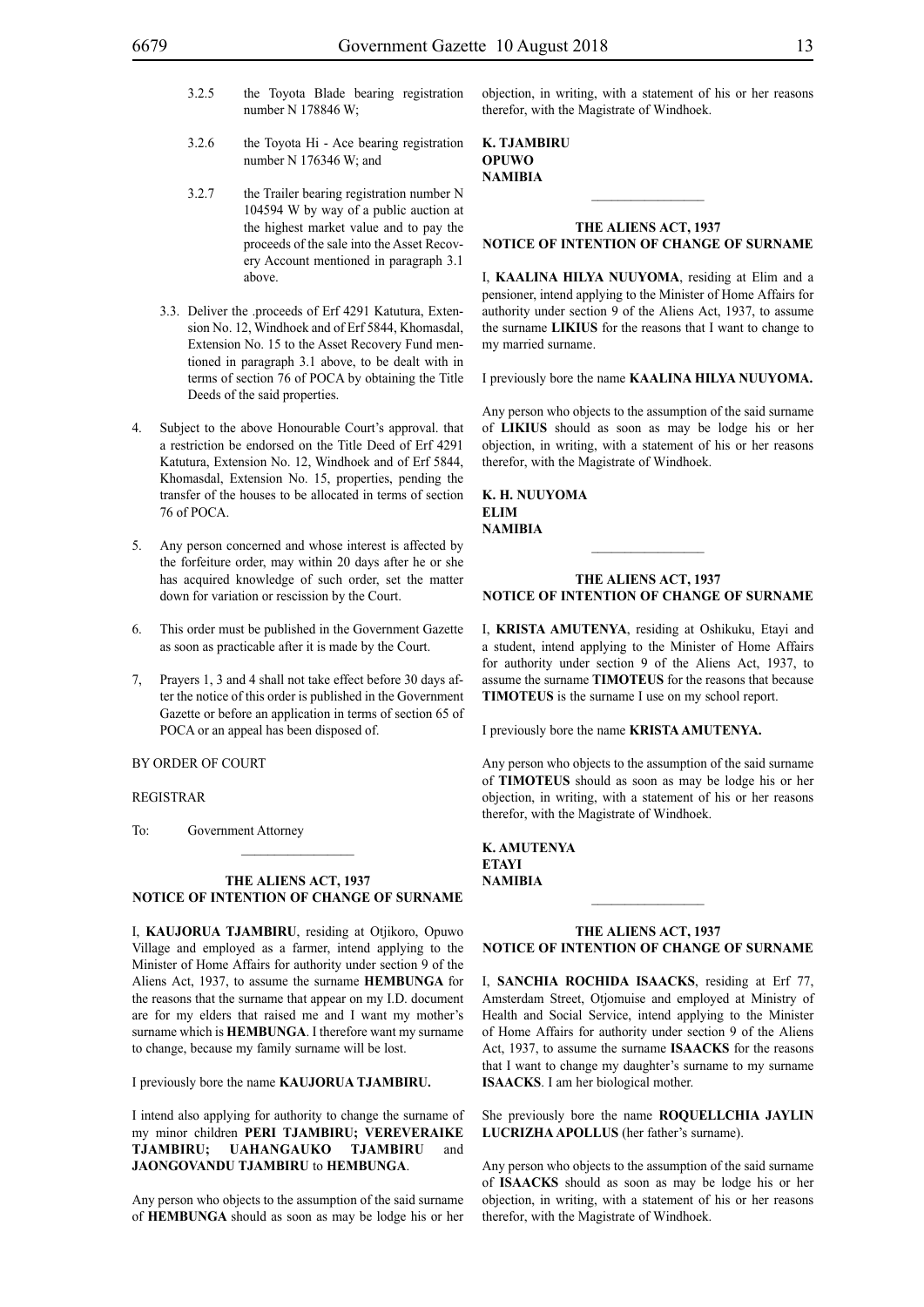- 3.2.5 the Toyota Blade bearing registration number N 178846 W;
- 3.2.6 the Toyota Hi Ace bearing registration number N 176346 W; and
- 3.2.7 the Trailer bearing registration number N 104594 W by way of a public auction at the highest market value and to pay the proceeds of the sale into the Asset Recovery Account mentioned in paragraph 3.1 above.
- 3.3. Deliver the .proceeds of Erf 4291 Katutura, Extension No. 12, Windhoek and of Erf 5844, Khomasdal, Extension No. 15 to the Asset Recovery Fund mentioned in paragraph 3.1 above, to be dealt with in terms of section 76 of POCA by obtaining the Title Deeds of the said properties.
- 4. Subject to the above Honourable Court's approval. that a restriction be endorsed on the Title Deed of Erf 4291 Katutura, Extension No. 12, Windhoek and of Erf 5844, Khomasdal, Extension No. 15, properties, pending the transfer of the houses to be allocated in terms of section 76 of POCA.
- 5. Any person concerned and whose interest is affected by the forfeiture order, may within 20 days after he or she has acquired knowledge of such order, set the matter down for variation or rescission by the Court.
- 6. This order must be published in the Government Gazette as soon as practicable after it is made by the Court.
- 7, Prayers 1, 3 and 4 shall not take effect before 30 days after the notice of this order is published in the Government Gazette or before an application in terms of section 65 of POCA or an appeal has been disposed of.

#### BY ORDER OF COURT

#### REGISTRAR

To: Government Attorney

#### **THE ALIENS ACT, 1937 NOTICE OF INTENTION OF CHANGE OF SURNAME**

 $\frac{1}{2}$ 

I, **kaujorua tjambiru**, residing at Otjikoro, Opuwo Village and employed as a farmer, intend applying to the Minister of Home Affairs for authority under section 9 of the Aliens Act, 1937, to assume the surname **hembunga** for the reasons that the surname that appear on my I.D. document are for my elders that raised me and I want my mother's surname which is **HEMBUNGA**. I therefore want my surname to change, because my family surname will be lost.

I previously bore the name **kaujorua tjambiru.**

I intend also applying for authority to change the surname of my minor children **PERI TJAMBIRU; VEREVERAIKE TJAMBIRU; UAHANGAUKO TJAMBIRU** and **JAONGOVANDU TJAMBIRU** to **HEMBUNGA**.

Any person who objects to the assumption of the said surname of **HEMBUNGA** should as soon as may be lodge his or her objection, in writing, with a statement of his or her reasons therefor, with the Magistrate of Windhoek.

**k. tjambiru opuwo NAMIBIA**

#### **THE ALIENS ACT, 1937 NOTICE OF INTENTION OF CHANGE OF SURNAME**

 $\frac{1}{2}$ 

I, **kaalina hilya nuuyoma**, residing at Elim and a pensioner, intend applying to the Minister of Home Affairs for authority under section 9 of the Aliens Act, 1937, to assume the surname **likIus** for the reasons that I want to change to my married surname.

I previously bore the name **kaalina hilya nuuyoma.**

Any person who objects to the assumption of the said surname of **likIus** should as soon as may be lodge his or her objection, in writing, with a statement of his or her reasons therefor, with the Magistrate of Windhoek.

**k. h. nuuyoma elim NAMIBIA**

#### **THE ALIENS ACT, 1937 NOTICE OF INTENTION OF CHANGE OF SURNAME**

 $\frac{1}{2}$ 

I, **krista amutenya**, residing at Oshikuku, Etayi and a student, intend applying to the Minister of Home Affairs for authority under section 9 of the Aliens Act, 1937, to assume the surname **timoteus** for the reasons that because **TIMOTEUS** is the surname I use on my school report.

I previously bore the name **krista amutenya.**

Any person who objects to the assumption of the said surname of **timoteus** should as soon as may be lodge his or her objection, in writing, with a statement of his or her reasons therefor, with the Magistrate of Windhoek.

**k. amutenya ETAVI NAMIBIA**

#### **THE ALIENS ACT, 1937 NOTICE OF INTENTION OF CHANGE OF SURNAME**

 $\frac{1}{2}$ 

I, **Sanchia Rochida isaaCks**, residing at Erf 77, Amsterdam Street, Otjomuise and employed at Ministry of Health and Social Service, intend applying to the Minister of Home Affairs for authority under section 9 of the Aliens Act, 1937, to assume the surname **isaacks** for the reasons that I want to change my daughter's surname to my surname **ISAACKS**. I am her biological mother.

She previously bore the name **ROQUELLCHIA JAYLIN LucrizhA Apollus** (her father's surname).

Any person who objects to the assumption of the said surname of **isaacks** should as soon as may be lodge his or her objection, in writing, with a statement of his or her reasons therefor, with the Magistrate of Windhoek.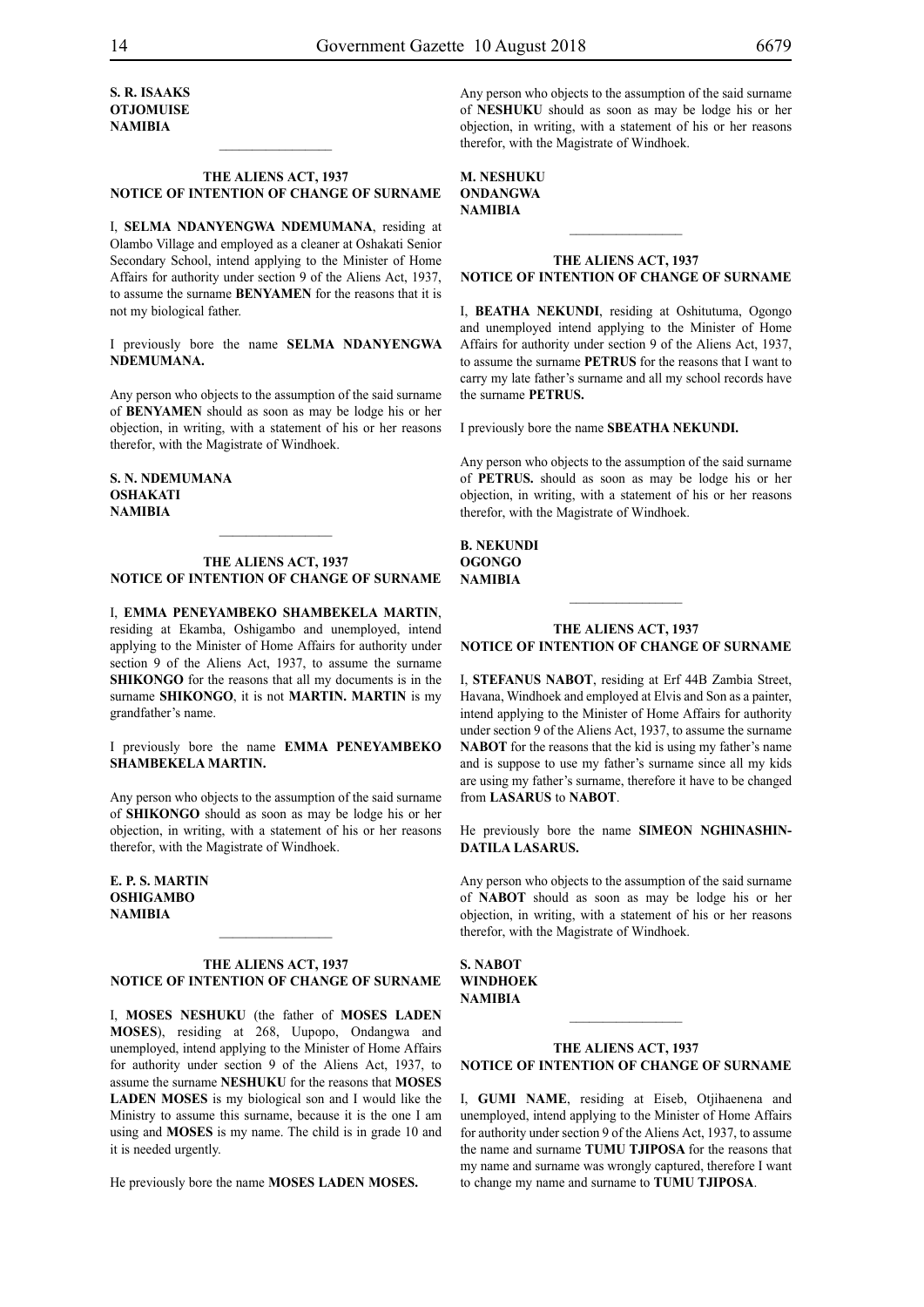**S. R. isaaks OTJOMUISE NAMIBIA**

#### **THE ALIENS ACT, 1937 NOTICE OF INTENTION OF CHANGE OF SURNAME**

 $\frac{1}{2}$ 

I, **selma ndanyengwa ndemumana**, residing at Olambo Village and employed as a cleaner at Oshakati Senior Secondary School, intend applying to the Minister of Home Affairs for authority under section 9 of the Aliens Act, 1937, to assume the surname **BENYAMEN** for the reasons that it is not my biological father.

I previously bore the name **SELMA NDANYENGWA ndemumana.**

Any person who objects to the assumption of the said surname of **benyamen** should as soon as may be lodge his or her objection, in writing, with a statement of his or her reasons therefor, with the Magistrate of Windhoek.

**s. n. ndemumana oshakati NAMIBIA**

#### **THE ALIENS ACT, 1937 NOTICE OF INTENTION OF CHANGE OF SURNAME**

 $\frac{1}{2}$ 

I, **emma peneyambeko shambekela martin**, residing at Ekamba, Oshigambo and unemployed, intend applying to the Minister of Home Affairs for authority under section 9 of the Aliens Act, 1937, to assume the surname **SHIKONGO** for the reasons that all my documents is in the surname **SHIKONGO**, it is not **MARTIN. MARTIN** is my grandfather's name.

I previously bore the name **emma peneyambeko shambekela martin.**

Any person who objects to the assumption of the said surname of **SHIKONGO** should as soon as may be lodge his or her objection, in writing, with a statement of his or her reasons therefor, with the Magistrate of Windhoek.

**e. p. s. martin oshigambo NAMIBIA**

#### **THE ALIENS ACT, 1937 NOTICE OF INTENTION OF CHANGE OF SURNAME**

 $\frac{1}{2}$ 

I, **moses neshuku** (the father of **moses laden Moses**), residing at 268, Uupopo, Ondangwa and unemployed, intend applying to the Minister of Home Affairs for authority under section 9 of the Aliens Act, 1937, to assume the surname **neshuku** for the reasons that **MOSES LADEN MOSES** is my biological son and I would like the Ministry to assume this surname, because it is the one I am using and **MOSES** is my name. The child is in grade 10 and it is needed urgently.

He previously bore the name **MOSES LADEN MOSES.**

Any person who objects to the assumption of the said surname of **neshuku** should as soon as may be lodge his or her objection, in writing, with a statement of his or her reasons therefor, with the Magistrate of Windhoek.

**m. neshuku ondangwa NAMIBIA**

#### **THE ALIENS ACT, 1937 NOTICE OF INTENTION OF CHANGE OF SURNAME**

 $\frac{1}{2}$ 

I, **beatha nekundi**, residing at Oshitutuma, Ogongo and unemployed intend applying to the Minister of Home Affairs for authority under section 9 of the Aliens Act, 1937, to assume the surname **PETRUS** for the reasons that I want to carry my late father's surname and all my school records have the surname **PETRUS.** 

I previously bore the name **sbeatha nekundi.**

Any person who objects to the assumption of the said surname of **petrus.** should as soon as may be lodge his or her objection, in writing, with a statement of his or her reasons therefor, with the Magistrate of Windhoek.

**b. nekundi ogongo NAMIBIA**

#### **THE ALIENS ACT, 1937**

**NOTICE OF INTENTION OF CHANGE OF SURNAME**

 $\frac{1}{2}$ 

I, **stefanus nabot**, residing at Erf 44B Zambia Street, Havana, Windhoek and employed at Elvis and Son as a painter, intend applying to the Minister of Home Affairs for authority under section 9 of the Aliens Act, 1937, to assume the surname **NABOT** for the reasons that the kid is using my father's name and is suppose to use my father's surname since all my kids are using my father's surname, therefore it have to be changed from **LASARUS** to **NABOT**.

He previously bore the name **SIMEON NGHINASHINdatiLa lasarus.**

Any person who objects to the assumption of the said surname of **nabot** should as soon as may be lodge his or her objection, in writing, with a statement of his or her reasons therefor, with the Magistrate of Windhoek.

**s. NABOT WINDHOEK NAMIBIA**

#### **THE ALIENS ACT, 1937 NOTICE OF INTENTION OF CHANGE OF SURNAME**

 $\mathcal{L}_\text{max}$ 

I, **gumi name**, residing at Eiseb, Otjihaenena and unemployed, intend applying to the Minister of Home Affairs for authority under section 9 of the Aliens Act, 1937, to assume the name and surname **TUMU TJIPOSA** for the reasons that my name and surname was wrongly captured, therefore I want to change my name and surname to **TUMU TJIPOSA**.